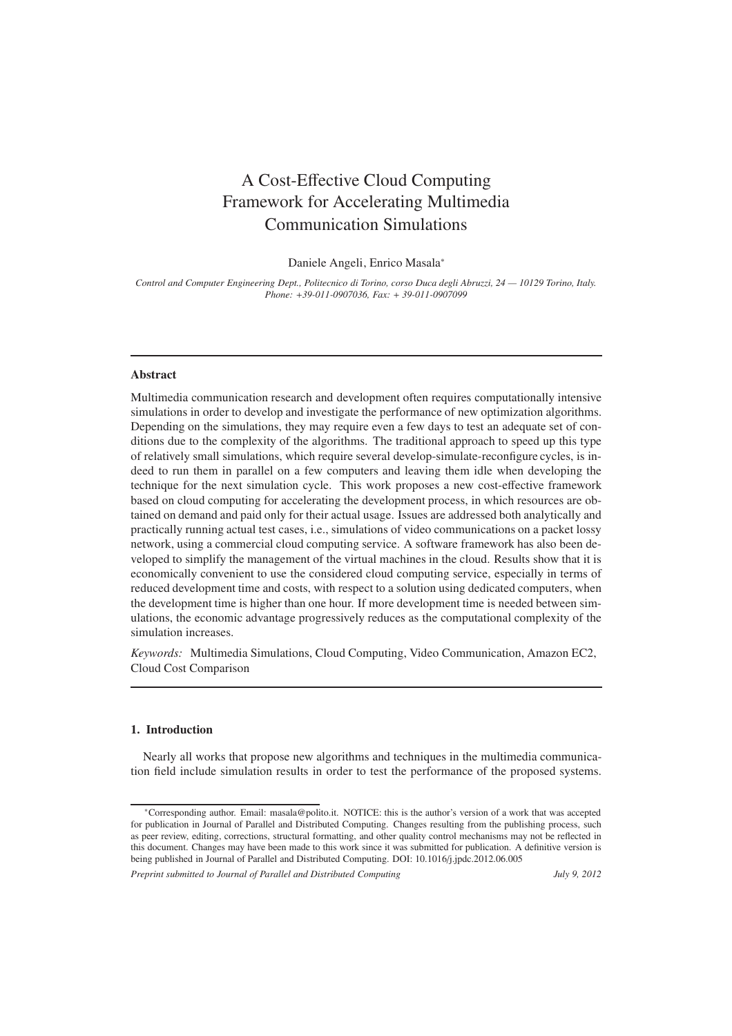# A Cost-Effective Cloud Computing Framework for Accelerating Multimedia Communication Simulations

Daniele Angeli, Enrico Masala<sup>∗</sup>

*Control and Computer Engineering Dept., Politecnico di Torino, corso Duca degli Abruzzi, 24 — 10129 Torino, Italy. Phone:* +*39-011-0907036, Fax:* + *39-011-0907099*

# Abstract

Multimedia communication research and development often requires computationally intensive simulations in order to develop and investigate the performance of new optimization algorithms. Depending on the simulations, they may require even a few days to test an adequate set of conditions due to the complexity of the algorithms. The traditional approach to speed up this type of relatively small simulations, which require several develop-simulate-reconfigure cycles, is indeed to run them in parallel on a few computers and leaving them idle when developing the technique for the next simulation cycle. This work proposes a new cost-effective framework based on cloud computing for accelerating the development process, in which resources are obtained on demand and paid only for their actual usage. Issues are addressed both analytically and practically running actual test cases, i.e., simulations of video communications on a packet lossy network, using a commercial cloud computing service. A software framework has also been developed to simplify the management of the virtual machines in the cloud. Results show that it is economically convenient to use the considered cloud computing service, especially in terms of reduced development time and costs, with respect to a solution using dedicated computers, when the development time is higher than one hour. If more development time is needed between simulations, the economic advantage progressively reduces as the computational complexity of the simulation increases.

*Keywords:* Multimedia Simulations, Cloud Computing, Video Communication, Amazon EC2, Cloud Cost Comparison

# 1. Introduction

Nearly all works that propose new algorithms and techniques in the multimedia communication field include simulation results in order to test the performance of the proposed systems.

*Preprint submitted to Journal of Parallel and Distributed Computing July 9, 2012* 

<sup>∗</sup>Corresponding author. Email: masala@polito.it. NOTICE: this is the author's version of a work that was accepted for publication in Journal of Parallel and Distributed Computing. Changes resulting from the publishing process, such as peer review, editing, corrections, structural formatting, and other quality control mechanisms may not be reflected in this document. Changes may have been made to this work since it was submitted for publication. A definitive version is being published in Journal of Parallel and Distributed Computing. DOI: 10.1016/j.jpdc.2012.06.005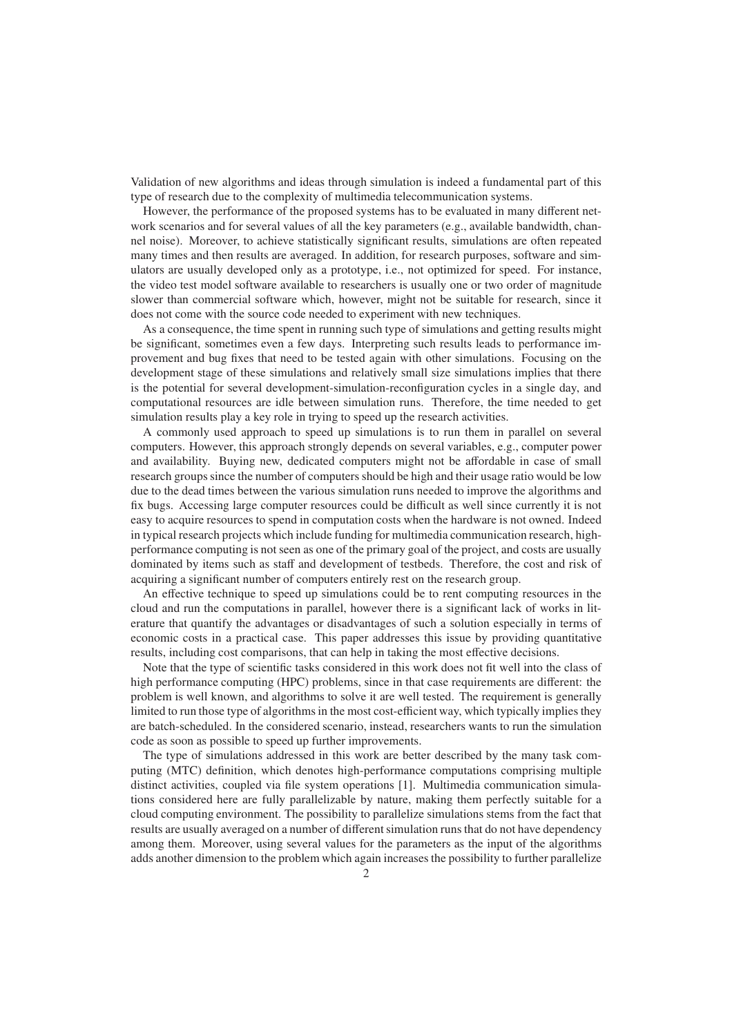Validation of new algorithms and ideas through simulation is indeed a fundamental part of this type of research due to the complexity of multimedia telecommunication systems.

However, the performance of the proposed systems has to be evaluated in many different network scenarios and for several values of all the key parameters (e.g., available bandwidth, channel noise). Moreover, to achieve statistically significant results, simulations are often repeated many times and then results are averaged. In addition, for research purposes, software and simulators are usually developed only as a prototype, i.e., not optimized for speed. For instance, the video test model software available to researchers is usually one or two order of magnitude slower than commercial software which, however, might not be suitable for research, since it does not come with the source code needed to experiment with new techniques.

As a consequence, the time spent in running such type of simulations and getting results might be significant, sometimes even a few days. Interpreting such results leads to performance improvement and bug fixes that need to be tested again with other simulations. Focusing on the development stage of these simulations and relatively small size simulations implies that there is the potential for several development-simulation-reconfiguration cycles in a single day, and computational resources are idle between simulation runs. Therefore, the time needed to get simulation results play a key role in trying to speed up the research activities.

A commonly used approach to speed up simulations is to run them in parallel on several computers. However, this approach strongly depends on several variables, e.g., computer power and availability. Buying new, dedicated computers might not be affordable in case of small research groups since the number of computers should be high and their usage ratio would be low due to the dead times between the various simulation runs needed to improve the algorithms and fix bugs. Accessing large computer resources could be difficult as well since currently it is not easy to acquire resources to spend in computation costs when the hardware is not owned. Indeed in typical research projects which include funding for multimedia communication research, highperformance computing is not seen as one of the primary goal of the project, and costs are usually dominated by items such as staff and development of testbeds. Therefore, the cost and risk of acquiring a significant number of computers entirely rest on the research group.

An effective technique to speed up simulations could be to rent computing resources in the cloud and run the computations in parallel, however there is a significant lack of works in literature that quantify the advantages or disadvantages of such a solution especially in terms of economic costs in a practical case. This paper addresses this issue by providing quantitative results, including cost comparisons, that can help in taking the most effective decisions.

Note that the type of scientific tasks considered in this work does not fit well into the class of high performance computing (HPC) problems, since in that case requirements are different: the problem is well known, and algorithms to solve it are well tested. The requirement is generally limited to run those type of algorithms in the most cost-efficient way, which typically implies they are batch-scheduled. In the considered scenario, instead, researchers wants to run the simulation code as soon as possible to speed up further improvements.

The type of simulations addressed in this work are better described by the many task computing (MTC) definition, which denotes high-performance computations comprising multiple distinct activities, coupled via file system operations [1]. Multimedia communication simulations considered here are fully parallelizable by nature, making them perfectly suitable for a cloud computing environment. The possibility to parallelize simulations stems from the fact that results are usually averaged on a number of different simulation runs that do not have dependency among them. Moreover, using several values for the parameters as the input of the algorithms adds another dimension to the problem which again increasesthe possibility to further parallelize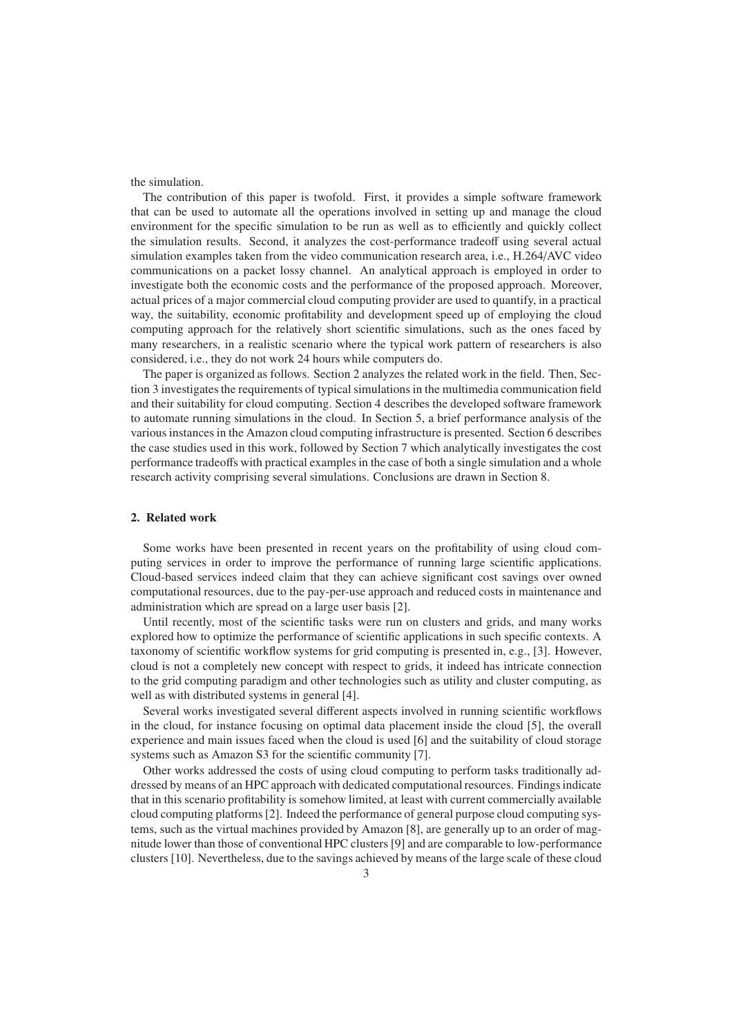the simulation.

The contribution of this paper is twofold. First, it provides a simple software framework that can be used to automate all the operations involved in setting up and manage the cloud environment for the specific simulation to be run as well as to efficiently and quickly collect the simulation results. Second, it analyzes the cost-performance tradeoff using several actual simulation examples taken from the video communication research area, i.e., H.264/AVC video communications on a packet lossy channel. An analytical approach is employed in order to investigate both the economic costs and the performance of the proposed approach. Moreover, actual prices of a major commercial cloud computing provider are used to quantify, in a practical way, the suitability, economic profitability and development speed up of employing the cloud computing approach for the relatively short scientific simulations, such as the ones faced by many researchers, in a realistic scenario where the typical work pattern of researchers is also considered, i.e., they do not work 24 hours while computers do.

The paper is organized as follows. Section 2 analyzes the related work in the field. Then, Section 3 investigates the requirements of typical simulations in the multimedia communication field and their suitability for cloud computing. Section 4 describes the developed software framework to automate running simulations in the cloud. In Section 5, a brief performance analysis of the various instances in the Amazon cloud computing infrastructure is presented. Section 6 describes the case studies used in this work, followed by Section 7 which analytically investigates the cost performance tradeoffs with practical examples in the case of both a single simulation and a whole research activity comprising several simulations. Conclusions are drawn in Section 8.

# 2. Related work

Some works have been presented in recent years on the profitability of using cloud computing services in order to improve the performance of running large scientific applications. Cloud-based services indeed claim that they can achieve significant cost savings over owned computational resources, due to the pay-per-use approach and reduced costs in maintenance and administration which are spread on a large user basis [2].

Until recently, most of the scientific tasks were run on clusters and grids, and many works explored how to optimize the performance of scientific applications in such specific contexts. A taxonomy of scientific workflow systems for grid computing is presented in, e.g., [3]. However, cloud is not a completely new concept with respect to grids, it indeed has intricate connection to the grid computing paradigm and other technologies such as utility and cluster computing, as well as with distributed systems in general [4].

Several works investigated several different aspects involved in running scientific workflows in the cloud, for instance focusing on optimal data placement inside the cloud [5], the overall experience and main issues faced when the cloud is used [6] and the suitability of cloud storage systems such as Amazon S3 for the scientific community [7].

Other works addressed the costs of using cloud computing to perform tasks traditionally addressed by means of an HPC approach with dedicated computational resources. Findings indicate that in this scenario profitability is somehow limited, at least with current commercially available cloud computing platforms [2]. Indeed the performance of general purpose cloud computing systems, such as the virtual machines provided by Amazon [8], are generally up to an order of magnitude lower than those of conventional HPC clusters [9] and are comparable to low-performance clusters [10]. Nevertheless, due to the savings achieved by means of the large scale of these cloud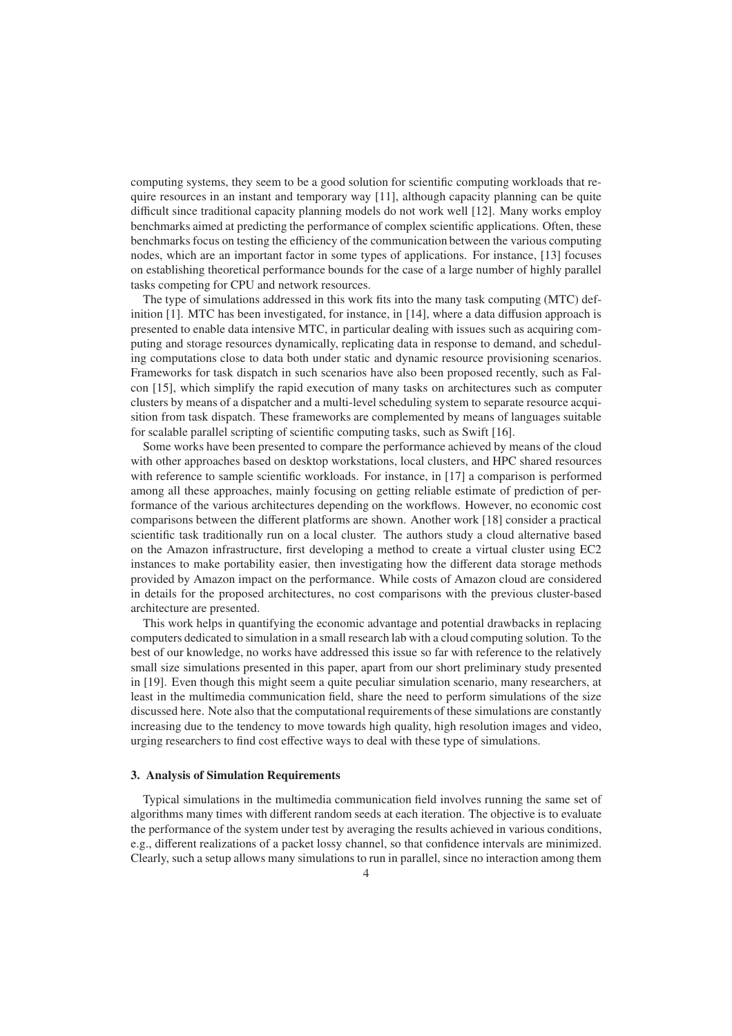computing systems, they seem to be a good solution for scientific computing workloads that require resources in an instant and temporary way [11], although capacity planning can be quite difficult since traditional capacity planning models do not work well [12]. Many works employ benchmarks aimed at predicting the performance of complex scientific applications. Often, these benchmarks focus on testing the efficiency of the communication between the various computing nodes, which are an important factor in some types of applications. For instance, [13] focuses on establishing theoretical performance bounds for the case of a large number of highly parallel tasks competing for CPU and network resources.

The type of simulations addressed in this work fits into the many task computing (MTC) definition [1]. MTC has been investigated, for instance, in [14], where a data diffusion approach is presented to enable data intensive MTC, in particular dealing with issues such as acquiring computing and storage resources dynamically, replicating data in response to demand, and scheduling computations close to data both under static and dynamic resource provisioning scenarios. Frameworks for task dispatch in such scenarios have also been proposed recently, such as Falcon [15], which simplify the rapid execution of many tasks on architectures such as computer clusters by means of a dispatcher and a multi-level scheduling system to separate resource acquisition from task dispatch. These frameworks are complemented by means of languages suitable for scalable parallel scripting of scientific computing tasks, such as Swift [16].

Some works have been presented to compare the performance achieved by means of the cloud with other approaches based on desktop workstations, local clusters, and HPC shared resources with reference to sample scientific workloads. For instance, in [17] a comparison is performed among all these approaches, mainly focusing on getting reliable estimate of prediction of performance of the various architectures depending on the workflows. However, no economic cost comparisons between the different platforms are shown. Another work [18] consider a practical scientific task traditionally run on a local cluster. The authors study a cloud alternative based on the Amazon infrastructure, first developing a method to create a virtual cluster using EC2 instances to make portability easier, then investigating how the different data storage methods provided by Amazon impact on the performance. While costs of Amazon cloud are considered in details for the proposed architectures, no cost comparisons with the previous cluster-based architecture are presented.

This work helps in quantifying the economic advantage and potential drawbacks in replacing computers dedicated to simulation in a small research lab with a cloud computing solution. To the best of our knowledge, no works have addressed this issue so far with reference to the relatively small size simulations presented in this paper, apart from our short preliminary study presented in [19]. Even though this might seem a quite peculiar simulation scenario, many researchers, at least in the multimedia communication field, share the need to perform simulations of the size discussed here. Note also that the computational requirements of these simulations are constantly increasing due to the tendency to move towards high quality, high resolution images and video, urging researchers to find cost effective ways to deal with these type of simulations.

## 3. Analysis of Simulation Requirements

Typical simulations in the multimedia communication field involves running the same set of algorithms many times with different random seeds at each iteration. The objective is to evaluate the performance of the system under test by averaging the results achieved in various conditions, e.g., different realizations of a packet lossy channel, so that confidence intervals are minimized. Clearly, such a setup allows many simulations to run in parallel, since no interaction among them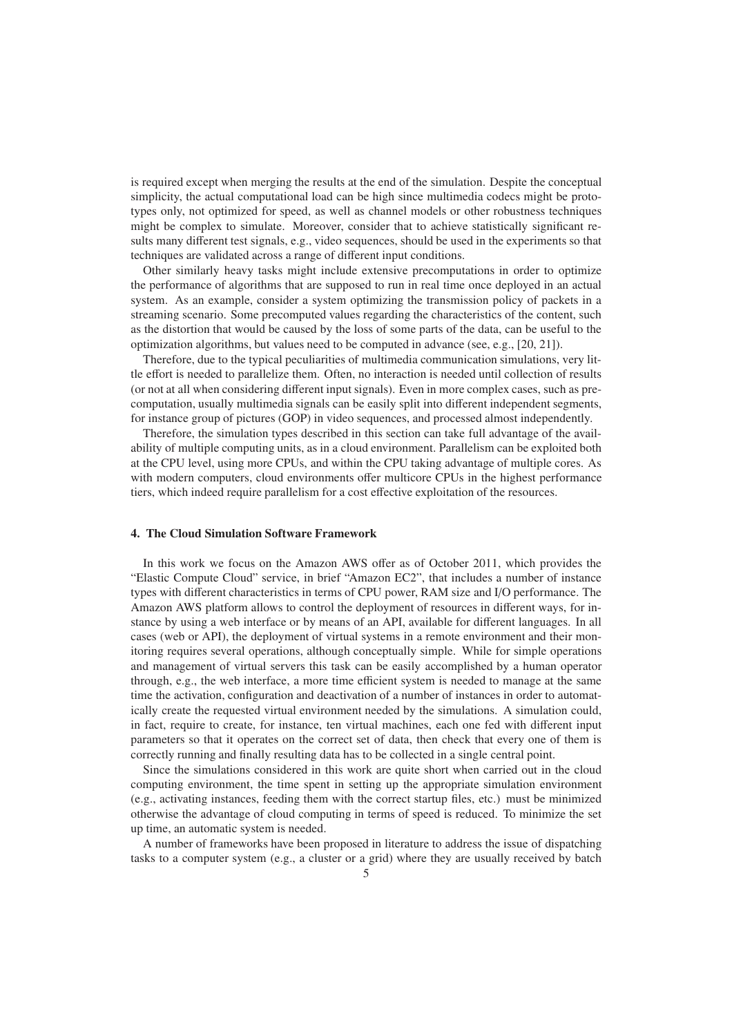is required except when merging the results at the end of the simulation. Despite the conceptual simplicity, the actual computational load can be high since multimedia codecs might be prototypes only, not optimized for speed, as well as channel models or other robustness techniques might be complex to simulate. Moreover, consider that to achieve statistically significant results many different test signals, e.g., video sequences, should be used in the experiments so that techniques are validated across a range of different input conditions.

Other similarly heavy tasks might include extensive precomputations in order to optimize the performance of algorithms that are supposed to run in real time once deployed in an actual system. As an example, consider a system optimizing the transmission policy of packets in a streaming scenario. Some precomputed values regarding the characteristics of the content, such as the distortion that would be caused by the loss of some parts of the data, can be useful to the optimization algorithms, but values need to be computed in advance (see, e.g., [20, 21]).

Therefore, due to the typical peculiarities of multimedia communication simulations, very little effort is needed to parallelize them. Often, no interaction is needed until collection of results (or not at all when considering different input signals). Even in more complex cases, such as precomputation, usually multimedia signals can be easily split into different independent segments, for instance group of pictures (GOP) in video sequences, and processed almost independently.

Therefore, the simulation types described in this section can take full advantage of the availability of multiple computing units, as in a cloud environment. Parallelism can be exploited both at the CPU level, using more CPUs, and within the CPU taking advantage of multiple cores. As with modern computers, cloud environments offer multicore CPUs in the highest performance tiers, which indeed require parallelism for a cost effective exploitation of the resources.

# 4. The Cloud Simulation Software Framework

In this work we focus on the Amazon AWS offer as of October 2011, which provides the "Elastic Compute Cloud" service, in brief "Amazon EC2", that includes a number of instance types with different characteristics in terms of CPU power, RAM size and I/O performance. The Amazon AWS platform allows to control the deployment of resources in different ways, for instance by using a web interface or by means of an API, available for different languages. In all cases (web or API), the deployment of virtual systems in a remote environment and their monitoring requires several operations, although conceptually simple. While for simple operations and management of virtual servers this task can be easily accomplished by a human operator through, e.g., the web interface, a more time efficient system is needed to manage at the same time the activation, configuration and deactivation of a number of instances in order to automatically create the requested virtual environment needed by the simulations. A simulation could, in fact, require to create, for instance, ten virtual machines, each one fed with different input parameters so that it operates on the correct set of data, then check that every one of them is correctly running and finally resulting data has to be collected in a single central point.

Since the simulations considered in this work are quite short when carried out in the cloud computing environment, the time spent in setting up the appropriate simulation environment (e.g., activating instances, feeding them with the correct startup files, etc.) must be minimized otherwise the advantage of cloud computing in terms of speed is reduced. To minimize the set up time, an automatic system is needed.

A number of frameworks have been proposed in literature to address the issue of dispatching tasks to a computer system (e.g., a cluster or a grid) where they are usually received by batch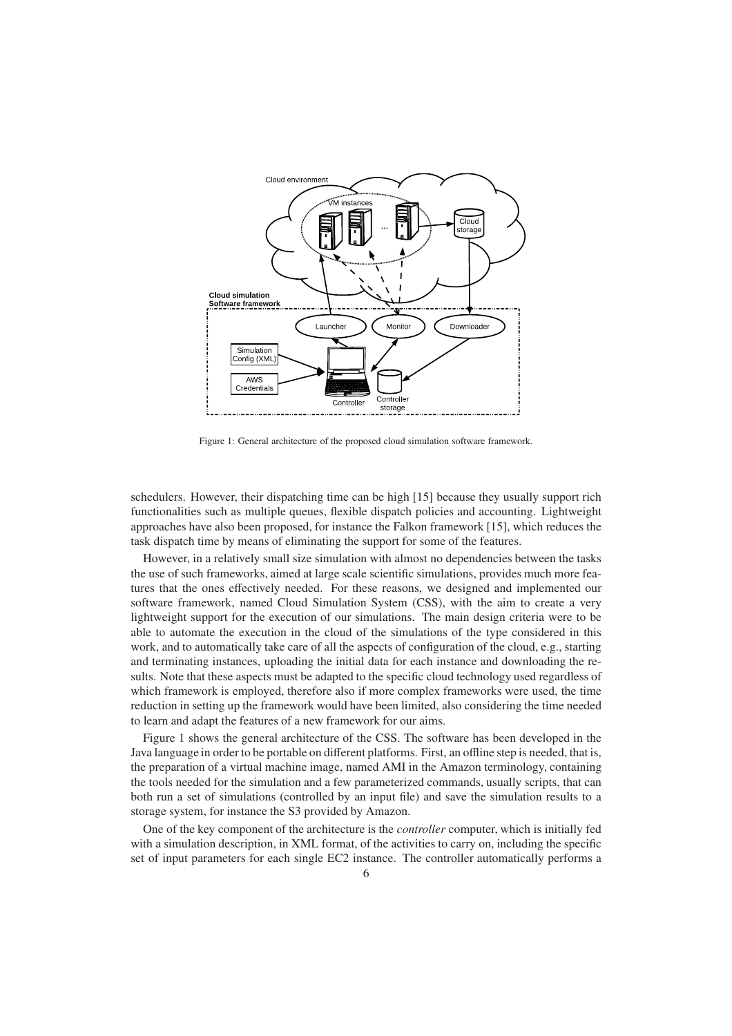

Figure 1: General architecture of the proposed cloud simulation software framework.

schedulers. However, their dispatching time can be high [15] because they usually support rich functionalities such as multiple queues, flexible dispatch policies and accounting. Lightweight approaches have also been proposed, for instance the Falkon framework [15], which reduces the task dispatch time by means of eliminating the support for some of the features.

However, in a relatively small size simulation with almost no dependencies between the tasks the use of such frameworks, aimed at large scale scientific simulations, provides much more features that the ones effectively needed. For these reasons, we designed and implemented our software framework, named Cloud Simulation System (CSS), with the aim to create a very lightweight support for the execution of our simulations. The main design criteria were to be able to automate the execution in the cloud of the simulations of the type considered in this work, and to automatically take care of all the aspects of configuration of the cloud, e.g., starting and terminating instances, uploading the initial data for each instance and downloading the results. Note that these aspects must be adapted to the specific cloud technology used regardless of which framework is employed, therefore also if more complex frameworks were used, the time reduction in setting up the framework would have been limited, also considering the time needed to learn and adapt the features of a new framework for our aims.

Figure 1 shows the general architecture of the CSS. The software has been developed in the Java language in order to be portable on different platforms. First, an offline step is needed, that is, the preparation of a virtual machine image, named AMI in the Amazon terminology, containing the tools needed for the simulation and a few parameterized commands, usually scripts, that can both run a set of simulations (controlled by an input file) and save the simulation results to a storage system, for instance the S3 provided by Amazon.

One of the key component of the architecture is the *controller* computer, which is initially fed with a simulation description, in XML format, of the activities to carry on, including the specific set of input parameters for each single EC2 instance. The controller automatically performs a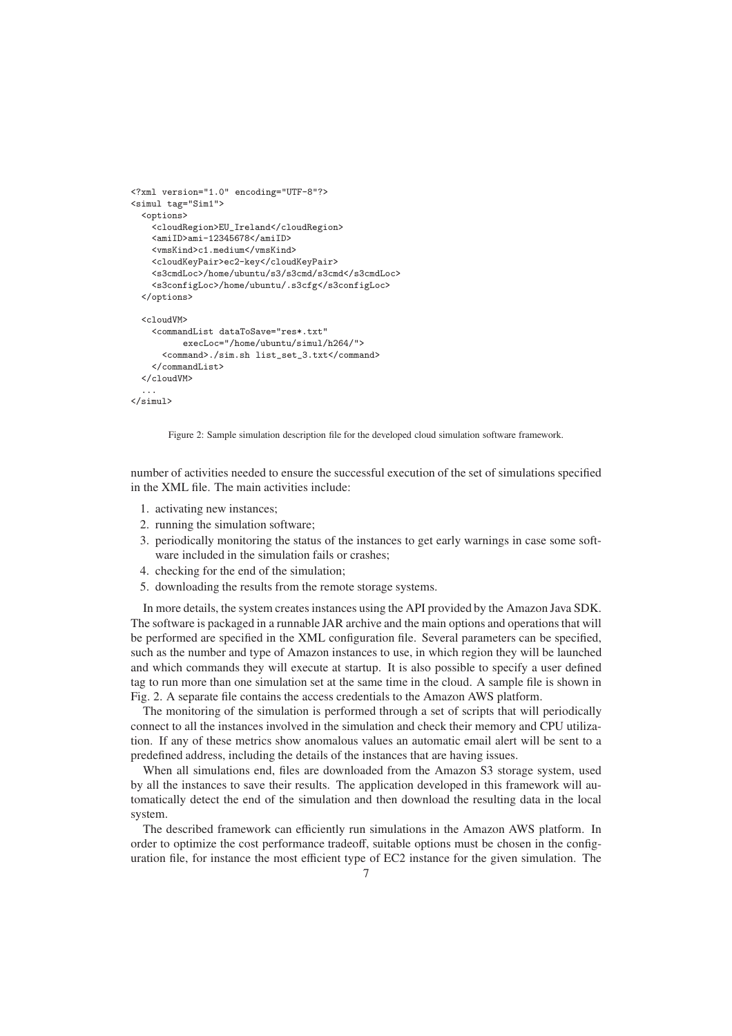```
<?xml version="1.0" encoding="UTF-8"?>
<simul tag="Sim1">
  <options>
    <cloudRegion>EU_Ireland</cloudRegion>
    <amiID>ami-12345678</amiID>
    <vmsKind>c1.medium</vmsKind>
    <cloudKeyPair>ec2-key</cloudKeyPair>
    <s3cmdLoc>/home/ubuntu/s3/s3cmd/s3cmd</s3cmdLoc>
    <s3configLoc>/home/ubuntu/.s3cfg</s3configLoc>
  </options>
  <cloudVM>
    <commandList dataToSave="res*.txt"
          execLoc="/home/ubuntu/simul/h264/">
      <command>./sim.sh list_set_3.txt</command>
    </commandList>
  </cloudVM>
  ...
</simul>
```
Figure 2: Sample simulation description file for the developed cloud simulation software framework.

number of activities needed to ensure the successful execution of the set of simulations specified in the XML file. The main activities include:

- 1. activating new instances;
- 2. running the simulation software;
- 3. periodically monitoring the status of the instances to get early warnings in case some software included in the simulation fails or crashes;
- 4. checking for the end of the simulation;
- 5. downloading the results from the remote storage systems.

In more details, the system creates instances using the API provided by the Amazon Java SDK. The software is packaged in a runnable JAR archive and the main options and operations that will be performed are specified in the XML configuration file. Several parameters can be specified, such as the number and type of Amazon instances to use, in which region they will be launched and which commands they will execute at startup. It is also possible to specify a user defined tag to run more than one simulation set at the same time in the cloud. A sample file is shown in Fig. 2. A separate file contains the access credentials to the Amazon AWS platform.

The monitoring of the simulation is performed through a set of scripts that will periodically connect to all the instances involved in the simulation and check their memory and CPU utilization. If any of these metrics show anomalous values an automatic email alert will be sent to a predefined address, including the details of the instances that are having issues.

When all simulations end, files are downloaded from the Amazon S3 storage system, used by all the instances to save their results. The application developed in this framework will automatically detect the end of the simulation and then download the resulting data in the local system.

The described framework can efficiently run simulations in the Amazon AWS platform. In order to optimize the cost performance tradeoff, suitable options must be chosen in the configuration file, for instance the most efficient type of EC2 instance for the given simulation. The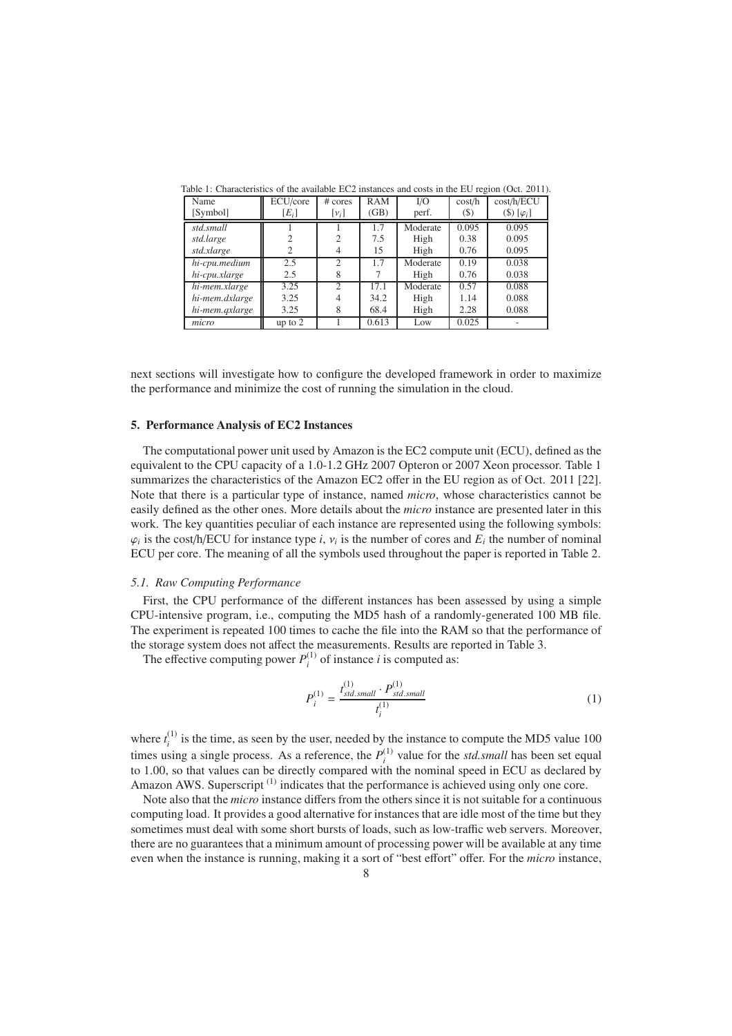| Name           | ECU/core  | # cores                     | RAM   | I/O      | cost/h | cost/h/ECU         |
|----------------|-----------|-----------------------------|-------|----------|--------|--------------------|
| [Symbol]       | $[E_i]$   | $[\nu_i]$                   | (GB)  | perf.    | $(\$)$ | $(\$) [\varphi_i]$ |
| std.small      |           |                             | 1.7   | Moderate | 0.095  | 0.095              |
| std.large      |           | $\overline{c}$              | 7.5   | High     | 0.38   | 0.095              |
| std.xlarge     | 2         | 4                           | 15    | High     | 0.76   | 0.095              |
| hi-cpu.medium  | 2.5       | $\mathfrak{D}$              | 1.7   | Moderate | 0.19   | 0.038              |
| hi-cpu.xlarge  | 2.5       | 8                           |       | High     | 0.76   | 0.038              |
| hi-mem.xlarge  | 3.25      | $\mathcal{D}_{\mathcal{L}}$ | 17.1  | Moderate | 0.57   | 0.088              |
| hi-mem.dxlarge | 3.25      | 4                           | 34.2  | High     | 1.14   | 0.088              |
| hi-mem.gxlarge | 3.25      | 8                           | 68.4  | High     | 2.28   | 0.088              |
| micro          | up to $2$ |                             | 0.613 | Low      | 0.025  |                    |

Table 1: Characteristics of the available EC2 instances and costs in the EU region (Oct. 2011).

next sections will investigate how to configure the developed framework in order to maximize the performance and minimize the cost of running the simulation in the cloud.

## 5. Performance Analysis of EC2 Instances

The computational power unit used by Amazon is the EC2 compute unit (ECU), defined as the equivalent to the CPU capacity of a 1.0-1.2 GHz 2007 Opteron or 2007 Xeon processor. Table 1 summarizes the characteristics of the Amazon EC2 offer in the EU region as of Oct. 2011 [22]. Note that there is a particular type of instance, named *micro*, whose characteristics cannot be easily defined as the other ones. More details about the *micro* instance are presented later in this work. The key quantities peculiar of each instance are represented using the following symbols:  $\varphi_i$  is the cost/h/ECU for instance type *i*,  $v_i$  is the number of cores and  $E_i$  the number of nominal ECU per core. The meaning of all the symbols used throughout the paper is reported in Table 2.

#### *5.1. Raw Computing Performance*

First, the CPU performance of the different instances has been assessed by using a simple CPU-intensive program, i.e., computing the MD5 hash of a randomly-generated 100 MB file. The experiment is repeated 100 times to cache the file into the RAM so that the performance of the storage system does not affect the measurements. Results are reported in Table 3.

The effective computing power  $P_i^{(1)}$  $i_i^{(1)}$  of instance *i* is computed as:

$$
P_i^{(1)} = \frac{t_{std.small}^{(1)} \cdot P_{std.small}^{(1)}}{t_i^{(1)}}
$$
(1)

where  $t_i^{(1)}$  $\binom{11}{i}$  is the time, as seen by the user, needed by the instance to compute the MD5 value 100 times using a single process. As a reference, the  $P_i^{(1)}$  $i_j^{(1)}$  value for the *std.small* has been set equal to 1.00, so that values can be directly compared with the nominal speed in ECU as declared by Amazon AWS. Superscript<sup>(1)</sup> indicates that the performance is achieved using only one core.

Note also that the *micro* instance differs from the others since it is not suitable for a continuous computing load. It provides a good alternative for instances that are idle most of the time but they sometimes must deal with some short bursts of loads, such as low-traffic web servers. Moreover, there are no guarantees that a minimum amount of processing power will be available at any time even when the instance is running, making it a sort of "best effort" offer. For the *micro* instance,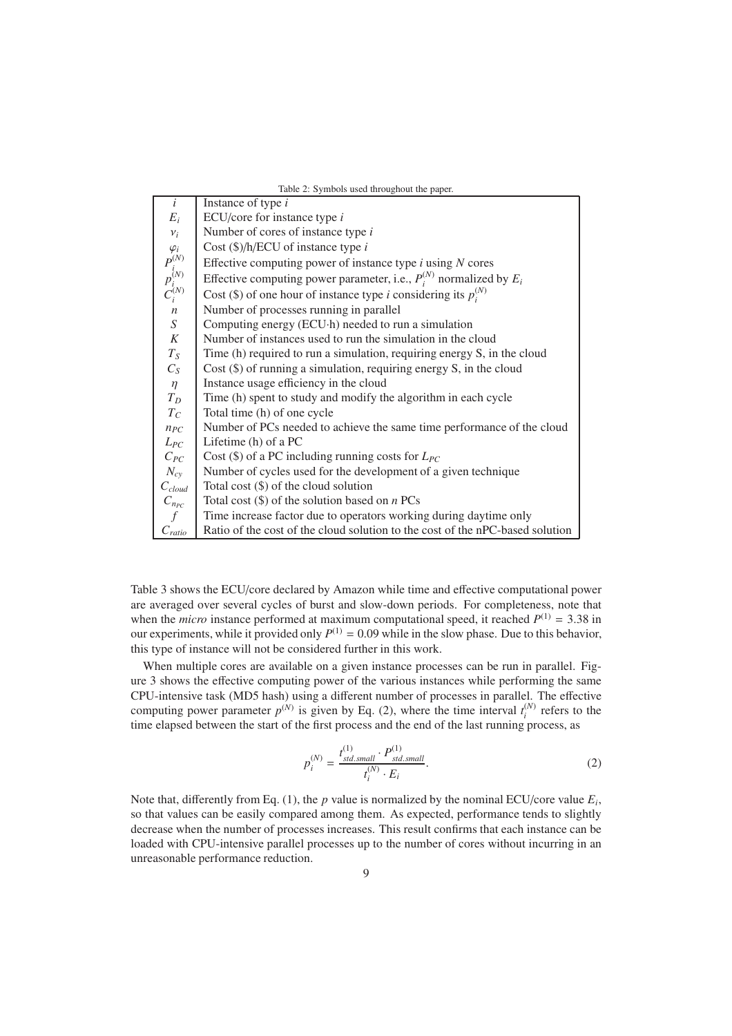|  |  |  | Table 2: Symbols used throughout the paper. |  |  |
|--|--|--|---------------------------------------------|--|--|
|--|--|--|---------------------------------------------|--|--|

| $\dot{i}$                                           | Instance of type i                                                            |
|-----------------------------------------------------|-------------------------------------------------------------------------------|
| $E_i$                                               | ECU/core for instance type $i$                                                |
| $v_i$                                               | Number of cores of instance type $i$                                          |
| $\varphi_i$                                         | Cost $(\frac{s}{h})/h/ECU$ of instance type i                                 |
|                                                     | Effective computing power of instance type $i$ using $N$ cores                |
| $P_{i(N)}^{(N)}$<br>$P_{i(N)}^{(N)}$<br>$C_i^{(N)}$ | Effective computing power parameter, i.e., $P_i^{(N)}$ normalized by $E_i$    |
|                                                     | Cost (\$) of one hour of instance type <i>i</i> considering its $p_i^{(N)}$   |
| $\boldsymbol{n}$                                    | Number of processes running in parallel                                       |
| $\boldsymbol{S}$                                    | Computing energy (ECU·h) needed to run a simulation                           |
| K                                                   | Number of instances used to run the simulation in the cloud                   |
| $T_S$                                               | Time (h) required to run a simulation, requiring energy S, in the cloud       |
| $C_S$                                               | $Cost$ (\$) of running a simulation, requiring energy S, in the cloud         |
| $\eta$                                              | Instance usage efficiency in the cloud                                        |
| $T_D$                                               | Time (h) spent to study and modify the algorithm in each cycle                |
| $T_C$                                               | Total time (h) of one cycle                                                   |
| $n_{PC}$                                            | Number of PCs needed to achieve the same time performance of the cloud        |
| $L_{PC}$                                            | Lifetime $(h)$ of a PC                                                        |
| $C_{PC}$                                            | Cost (\$) of a PC including running costs for $L_{PC}$                        |
| $N_{cy}$                                            | Number of cycles used for the development of a given technique                |
| $C_{cloud}$                                         | Total cost $(\$)$ of the cloud solution                                       |
|                                                     | Total cost $(\$)$ of the solution based on <i>n</i> PCs                       |
| $\begin{array}{c} C_{n_{PC}} \\ f \end{array}$      | Time increase factor due to operators working during daytime only             |
| $C_{ratio}$                                         | Ratio of the cost of the cloud solution to the cost of the nPC-based solution |

Table 3 shows the ECU/core declared by Amazon while time and effective computational power are averaged over several cycles of burst and slow-down periods. For completeness, note that when the *micro* instance performed at maximum computational speed, it reached  $P^{(1)} = 3.38$  in our experiments, while it provided only  $P^{(1)} = 0.09$  while in the slow phase. Due to this behavior, this type of instance will not be considered further in this work.

When multiple cores are available on a given instance processes can be run in parallel. Figure 3 shows the effective computing power of the various instances while performing the same CPU-intensive task (MD5 hash) using a different number of processes in parallel. The effective computing power parameter  $p^{(N)}$  is given by Eq. (2), where the time interval  $t_i^{(N)}$  $i^{(N)}$  refers to the time elapsed between the start of the first process and the end of the last running process, as

$$
p_i^{(N)} = \frac{t_{std.small}^{(1)} \cdot P_{std.small}^{(1)}}{t_i^{(N)} \cdot E_i}.
$$
 (2)

Note that, differently from Eq. (1), the *p* value is normalized by the nominal ECU/core value *E<sup>i</sup>* , so that values can be easily compared among them. As expected, performance tends to slightly decrease when the number of processes increases. This result confirms that each instance can be loaded with CPU-intensive parallel processes up to the number of cores without incurring in an unreasonable performance reduction.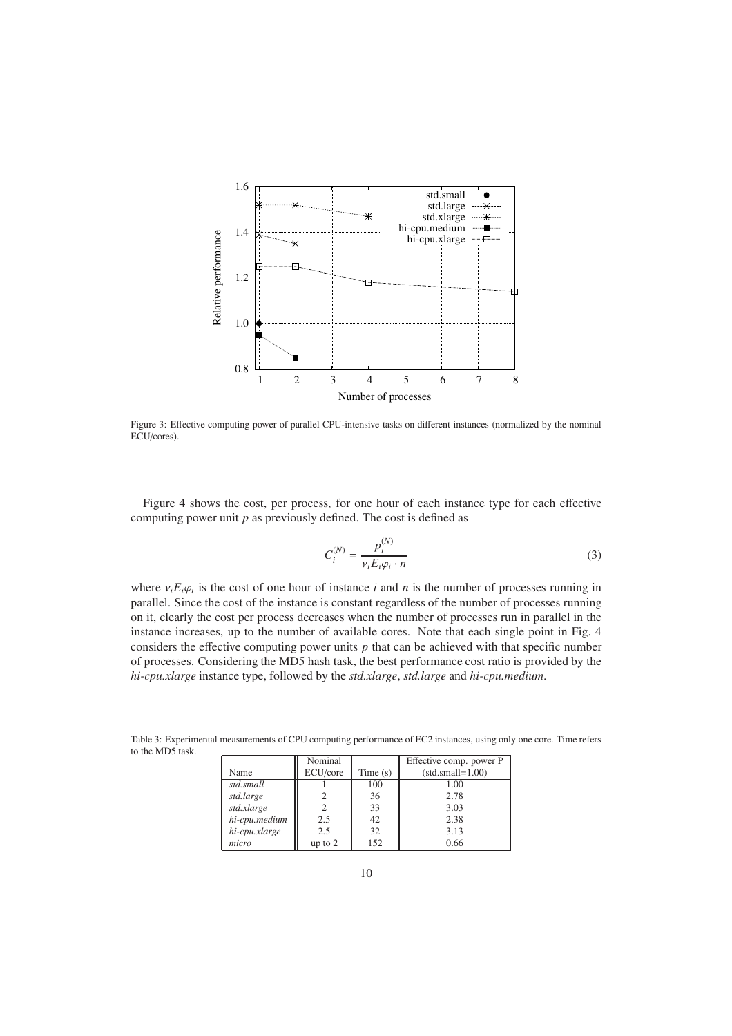

Figure 3: Effective computing power of parallel CPU-intensive tasks on different instances (normalized by the nominal ECU/cores).

Figure 4 shows the cost, per process, for one hour of each instance type for each effective computing power unit *p* as previously defined. The cost is defined as

$$
C_i^{(N)} = \frac{p_i^{(N)}}{v_i E_i \varphi_i \cdot n}
$$
 (3)

where  $v_i E_i \varphi_i$  is the cost of one hour of instance *i* and *n* is the number of processes running in parallel. Since the cost of the instance is constant regardless of the number of processes running on it, clearly the cost per process decreases when the number of processes run in parallel in the instance increases, up to the number of available cores. Note that each single point in Fig. 4 considers the effective computing power units *p* that can be achieved with that specific number of processes. Considering the MD5 hash task, the best performance cost ratio is provided by the *hi-cpu.xlarge* instance type, followed by the *std.xlarge*, *std.large* and *hi-cpu.medium*.

Table 3: Experimental measurements of CPU computing performance of EC2 instances, using only one core. Time refers to the MD5 task.

|               | Nominal   |            | Effective comp. power P |
|---------------|-----------|------------|-------------------------|
| Name          | ECU/core  | Time $(s)$ | $(stat. small=1.00)$    |
| std.small     |           | 100        | 1.00                    |
| std.large     |           | 36         | 2.78                    |
| std.xlarge    |           | 33         | 3.03                    |
| hi-cpu.medium | 2.5       | 42         | 2.38                    |
| hi-cpu.xlarge | 2.5       | 32         | 3.13                    |
| micro         | up to $2$ | 152        | 0.66                    |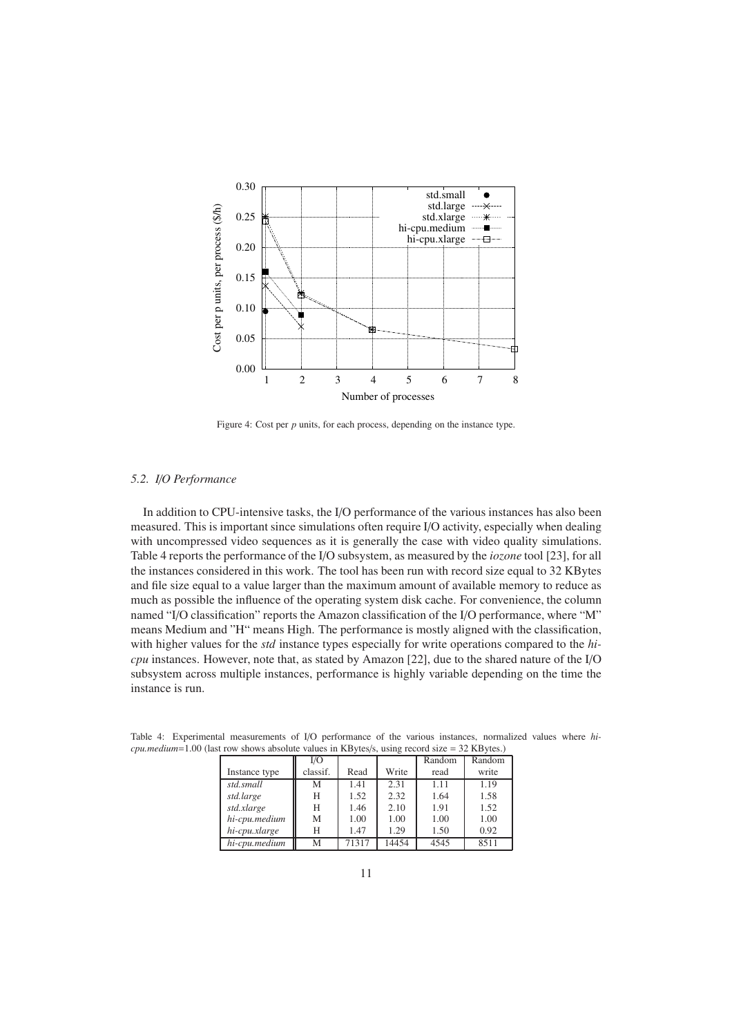

Figure 4: Cost per *p* units, for each process, depending on the instance type.

# *5.2. I*/*O Performance*

In addition to CPU-intensive tasks, the I/O performance of the various instances has also been measured. This is important since simulations often require I/O activity, especially when dealing with uncompressed video sequences as it is generally the case with video quality simulations. Table 4 reports the performance of the I/O subsystem, as measured by the *iozone* tool [23], for all the instances considered in this work. The tool has been run with record size equal to 32 KBytes and file size equal to a value larger than the maximum amount of available memory to reduce as much as possible the influence of the operating system disk cache. For convenience, the column named "I/O classification" reports the Amazon classification of the I/O performance, where "M" means Medium and "H" means High. The performance is mostly aligned with the classification, with higher values for the *std* instance types especially for write operations compared to the *hicpu* instances. However, note that, as stated by Amazon [22], due to the shared nature of the I/O subsystem across multiple instances, performance is highly variable depending on the time the instance is run.

|               | I/O      |       |       | Random | Random |
|---------------|----------|-------|-------|--------|--------|
| Instance type | classif. | Read  | Write | read   | write  |
| std.small     | M        | 1.41  | 2.31  | 1.11   | 1.19   |
| std.large     | Н        | 1.52  | 2.32  | 1.64   | 1.58   |
| std.xlarge    | Н        | 1.46  | 2.10  | 1.91   | 1.52   |
| hi-cpu.medium | M        | 1.00  | 1.00  | 1.00   | 1.00   |
| hi-cpu.xlarge | Н        | 1.47  | 1.29  | 1.50   | 0.92   |
| hi-cpu.medium | M        | 71317 | 14454 | 4545   | 8511   |

Table 4: Experimental measurements of I/O performance of the various instances, normalized values where *hicpu.medium*=1.00 (last row shows absolute values in KBytes/s, using record size = 32 KBytes.)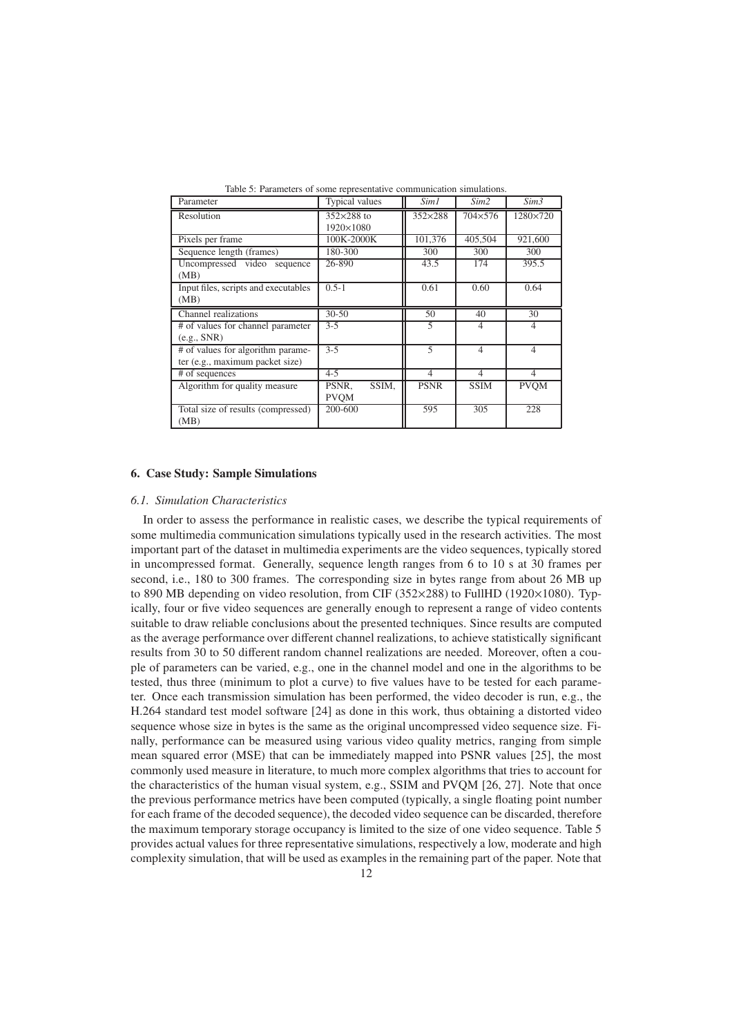| Parameter                            | Typical values    | Sim1                     | Sim <sub>2</sub> | Sim3           |
|--------------------------------------|-------------------|--------------------------|------------------|----------------|
| Resolution                           | $352\times288$ to | 352×288                  | 704×576          | 1280×720       |
|                                      | 1920×1080         |                          |                  |                |
| Pixels per frame                     | 100K-2000K        | 101,376                  | 405,504          | 921,600        |
| Sequence length (frames)             | 180-300           | 300                      | 300              | 300            |
| Uncompressed video sequence          | 26-890            | 43.5                     | 174              | 395.5          |
| (MB)                                 |                   |                          |                  |                |
| Input files, scripts and executables | $0.5 - 1$         | 0.61                     | 0.60             | 0.64           |
| (MB)                                 |                   |                          |                  |                |
| Channel realizations                 | $30 - 50$         | 50                       | 40               | 30             |
| # of values for channel parameter    | $3-5$             | $\overline{\phantom{0}}$ | 4                | 4              |
| (e.g., SNR)                          |                   |                          |                  |                |
| # of values for algorithm parame-    | $3 - 5$           | 5                        | 4                | $\overline{4}$ |
| ter (e.g., maximum packet size)      |                   |                          |                  |                |
| # of sequences                       | $4 - 5$           | $\overline{4}$           | 4                | $\overline{4}$ |
| Algorithm for quality measure        | SSIM,<br>PSNR,    | <b>PSNR</b>              | <b>SSIM</b>      | <b>PVQM</b>    |
|                                      | <b>PVOM</b>       |                          |                  |                |
| Total size of results (compressed)   | 200-600           | 595                      | 305              | 228            |
| (MB)                                 |                   |                          |                  |                |

Table 5: Parameters of some representative communication simulations.

#### 6. Case Study: Sample Simulations

#### *6.1. Simulation Characteristics*

In order to assess the performance in realistic cases, we describe the typical requirements of some multimedia communication simulations typically used in the research activities. The most important part of the dataset in multimedia experiments are the video sequences, typically stored in uncompressed format. Generally, sequence length ranges from 6 to 10 s at 30 frames per second, i.e., 180 to 300 frames. The corresponding size in bytes range from about 26 MB up to 890 MB depending on video resolution, from CIF ( $352\times288$ ) to FullHD ( $1920\times1080$ ). Typically, four or five video sequences are generally enough to represent a range of video contents suitable to draw reliable conclusions about the presented techniques. Since results are computed as the average performance over different channel realizations, to achieve statistically significant results from 30 to 50 different random channel realizations are needed. Moreover, often a couple of parameters can be varied, e.g., one in the channel model and one in the algorithms to be tested, thus three (minimum to plot a curve) to five values have to be tested for each parameter. Once each transmission simulation has been performed, the video decoder is run, e.g., the H.264 standard test model software [24] as done in this work, thus obtaining a distorted video sequence whose size in bytes is the same as the original uncompressed video sequence size. Finally, performance can be measured using various video quality metrics, ranging from simple mean squared error (MSE) that can be immediately mapped into PSNR values [25], the most commonly used measure in literature, to much more complex algorithms that tries to account for the characteristics of the human visual system, e.g., SSIM and PVQM [26, 27]. Note that once the previous performance metrics have been computed (typically, a single floating point number for each frame of the decoded sequence), the decoded video sequence can be discarded, therefore the maximum temporary storage occupancy is limited to the size of one video sequence. Table 5 provides actual values for three representative simulations, respectively a low, moderate and high complexity simulation, that will be used as examples in the remaining part of the paper. Note that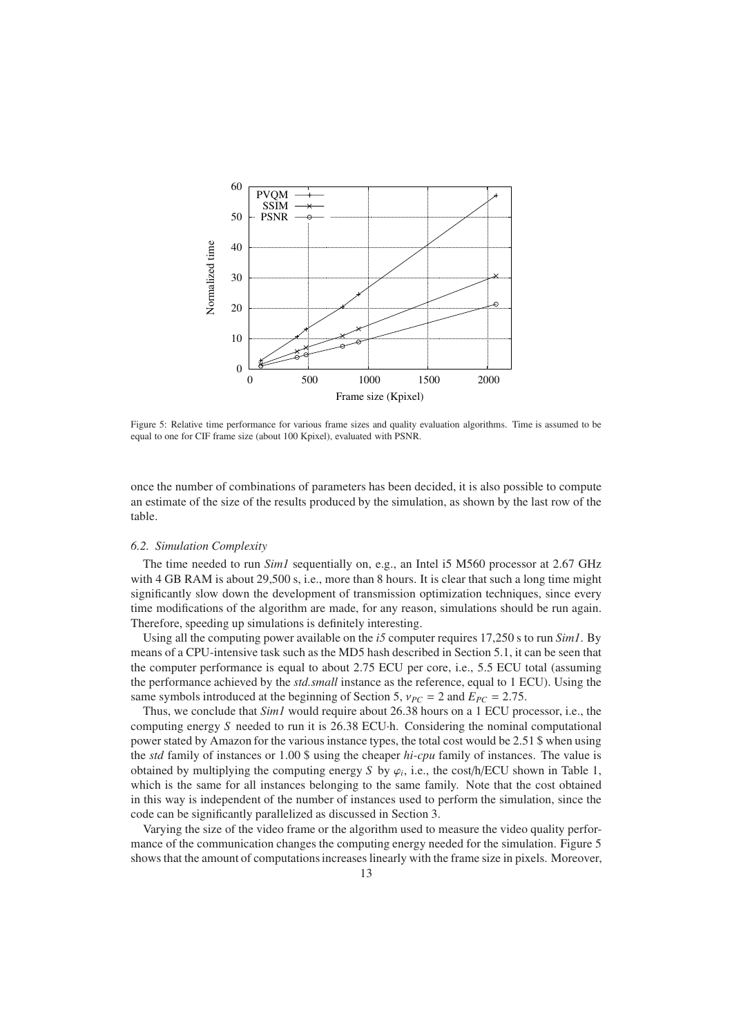

Figure 5: Relative time performance for various frame sizes and quality evaluation algorithms. Time is assumed to be equal to one for CIF frame size (about 100 Kpixel), evaluated with PSNR.

once the number of combinations of parameters has been decided, it is also possible to compute an estimate of the size of the results produced by the simulation, as shown by the last row of the table.

## *6.2. Simulation Complexity*

The time needed to run *Sim1* sequentially on, e.g., an Intel i5 M560 processor at 2.67 GHz with 4 GB RAM is about 29,500 s, i.e., more than 8 hours. It is clear that such a long time might significantly slow down the development of transmission optimization techniques, since every time modifications of the algorithm are made, for any reason, simulations should be run again. Therefore, speeding up simulations is definitely interesting.

Using all the computing power available on the *i5* computer requires 17,250 s to run *Sim1*. By means of a CPU-intensive task such as the MD5 hash described in Section 5.1, it can be seen that the computer performance is equal to about 2.75 ECU per core, i.e., 5.5 ECU total (assuming the performance achieved by the *std.small* instance as the reference, equal to 1 ECU). Using the same symbols introduced at the beginning of Section 5,  $v_{PC} = 2$  and  $E_{PC} = 2.75$ .

Thus, we conclude that *Sim1* would require about 26.38 hours on a 1 ECU processor, i.e., the computing energy *S* needed to run it is 26.38 ECU·h. Considering the nominal computational power stated by Amazon for the various instance types, the total cost would be 2.51 \$ when using the *std* family of instances or 1.00 \$ using the cheaper *hi-cpu* family of instances. The value is obtained by multiplying the computing energy *S* by  $\varphi_i$ , i.e., the cost/h/ECU shown in Table 1, which is the same for all instances belonging to the same family. Note that the cost obtained in this way is independent of the number of instances used to perform the simulation, since the code can be significantly parallelized as discussed in Section 3.

Varying the size of the video frame or the algorithm used to measure the video quality performance of the communication changes the computing energy needed for the simulation. Figure 5 shows that the amount of computations increases linearly with the frame size in pixels. Moreover,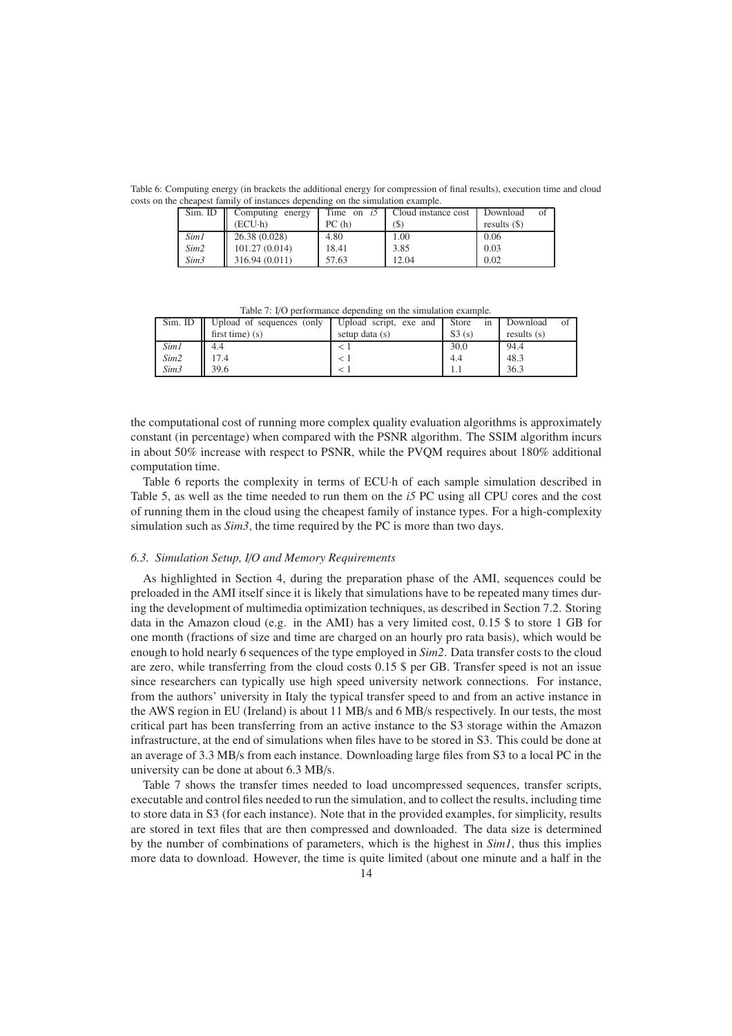Table 6: Computing energy (in brackets the additional energy for compression of final results), execution time and cloud costs on the cheapest family of instances depending on the simulation example.

|      | Sim. ID   Computing energy | Time on $i5$ | Cloud instance cost | of<br>Download |
|------|----------------------------|--------------|---------------------|----------------|
|      | (ECU·h)                    | PC(h)        | (\$)                | results $($ )  |
| Sim1 | $\parallel$ 26.38 (0.028)  | 4.80         | 1.00                | 0.06           |
| Sim2 | 101.27(0.014)              | 18.41        | 3.85                | 0.03           |
| Sim3 | 316.94 (0.011)             | 57.63        | 12.04               | 0.02           |

|      | Sim. ID   Upload of sequences (only   Upload script, exe and |                | Store<br>in | Download<br>Οİ |
|------|--------------------------------------------------------------|----------------|-------------|----------------|
|      | first time) $(s)$                                            | setup data (s) | S3(s)       | results $(s)$  |
| Sim1 | 4.4                                                          |                | 30.0        | 94.4           |
| Sim2 | 17.4                                                         |                | 4.4         | 48.3           |
| Sim3 | 39.6                                                         |                |             | 36.3           |

the computational cost of running more complex quality evaluation algorithms is approximately constant (in percentage) when compared with the PSNR algorithm. The SSIM algorithm incurs in about 50% increase with respect to PSNR, while the PVQM requires about 180% additional computation time.

Table 6 reports the complexity in terms of ECU·h of each sample simulation described in Table 5, as well as the time needed to run them on the *i5* PC using all CPU cores and the cost of running them in the cloud using the cheapest family of instance types. For a high-complexity simulation such as *Sim3*, the time required by the PC is more than two days.

# *6.3. Simulation Setup, I*/*O and Memory Requirements*

As highlighted in Section 4, during the preparation phase of the AMI, sequences could be preloaded in the AMI itself since it is likely that simulations have to be repeated many times during the development of multimedia optimization techniques, as described in Section 7.2. Storing data in the Amazon cloud (e.g. in the AMI) has a very limited cost, 0.15 \$ to store 1 GB for one month (fractions of size and time are charged on an hourly pro rata basis), which would be enough to hold nearly 6 sequences of the type employed in *Sim2*. Data transfer costs to the cloud are zero, while transferring from the cloud costs  $0.15$  \$ per GB. Transfer speed is not an issue since researchers can typically use high speed university network connections. For instance, from the authors' university in Italy the typical transfer speed to and from an active instance in the AWS region in EU (Ireland) is about 11 MB/s and 6 MB/s respectively. In our tests, the most critical part has been transferring from an active instance to the S3 storage within the Amazon infrastructure, at the end of simulations when files have to be stored in S3. This could be done at an average of 3.3 MB/s from each instance. Downloading large files from S3 to a local PC in the university can be done at about 6.3 MB/s.

Table 7 shows the transfer times needed to load uncompressed sequences, transfer scripts, executable and control files needed to run the simulation, and to collect the results, including time to store data in S3 (for each instance). Note that in the provided examples, for simplicity, results are stored in text files that are then compressed and downloaded. The data size is determined by the number of combinations of parameters, which is the highest in *Sim1*, thus this implies more data to download. However, the time is quite limited (about one minute and a half in the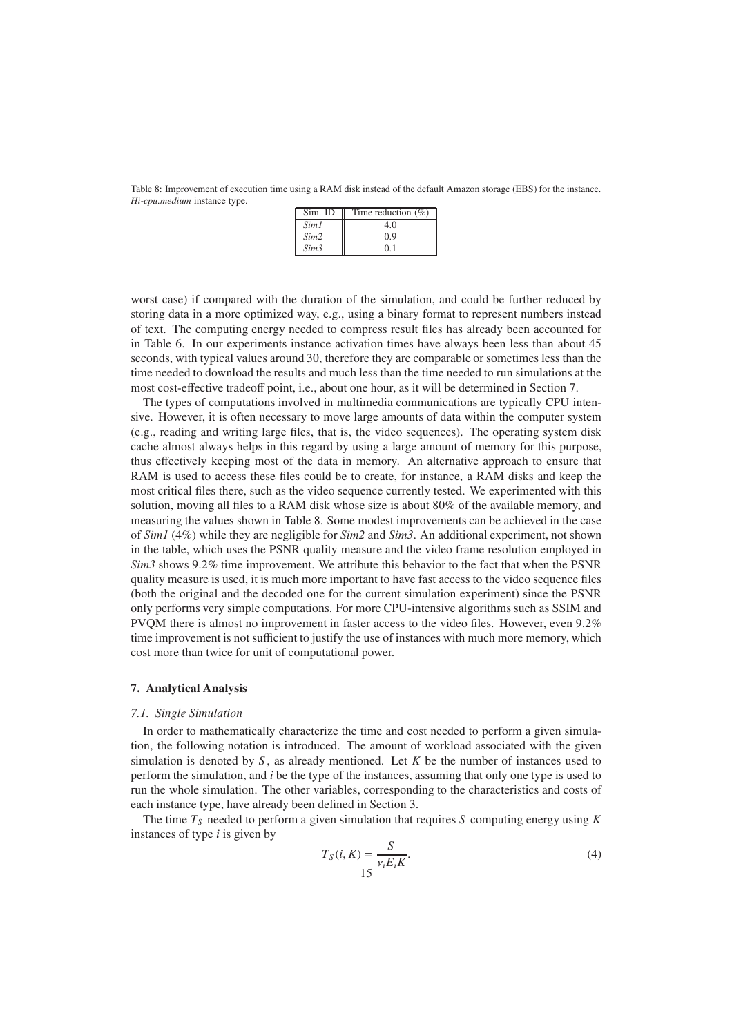Table 8: Improvement of execution time using a RAM disk instead of the default Amazon storage (EBS) for the instance. *Hi-cpu.medium* instance type.

| Sim. ID          | Time reduction $(\%)$ |
|------------------|-----------------------|
| Sim1             | 40                    |
| Sim <sub>2</sub> | 0.9                   |
| Sim3             |                       |

worst case) if compared with the duration of the simulation, and could be further reduced by storing data in a more optimized way, e.g., using a binary format to represent numbers instead of text. The computing energy needed to compress result files has already been accounted for in Table 6. In our experiments instance activation times have always been less than about 45 seconds, with typical values around 30, therefore they are comparable or sometimes less than the time needed to download the results and much less than the time needed to run simulations at the most cost-effective tradeoff point, i.e., about one hour, as it will be determined in Section 7.

The types of computations involved in multimedia communications are typically CPU intensive. However, it is often necessary to move large amounts of data within the computer system (e.g., reading and writing large files, that is, the video sequences). The operating system disk cache almost always helps in this regard by using a large amount of memory for this purpose, thus effectively keeping most of the data in memory. An alternative approach to ensure that RAM is used to access these files could be to create, for instance, a RAM disks and keep the most critical files there, such as the video sequence currently tested. We experimented with this solution, moving all files to a RAM disk whose size is about 80% of the available memory, and measuring the values shown in Table 8. Some modest improvements can be achieved in the case of *Sim1* (4%) while they are negligible for *Sim2* and *Sim3*. An additional experiment, not shown in the table, which uses the PSNR quality measure and the video frame resolution employed in *Sim3* shows 9.2% time improvement. We attribute this behavior to the fact that when the PSNR quality measure is used, it is much more important to have fast access to the video sequence files (both the original and the decoded one for the current simulation experiment) since the PSNR only performs very simple computations. For more CPU-intensive algorithms such as SSIM and PVQM there is almost no improvement in faster access to the video files. However, even 9.2% time improvement is not sufficient to justify the use of instances with much more memory, which cost more than twice for unit of computational power.

## 7. Analytical Analysis

## *7.1. Single Simulation*

In order to mathematically characterize the time and cost needed to perform a given simulation, the following notation is introduced. The amount of workload associated with the given simulation is denoted by  $S$ , as already mentioned. Let  $K$  be the number of instances used to perform the simulation, and *i* be the type of the instances, assuming that only one type is used to run the whole simulation. The other variables, corresponding to the characteristics and costs of each instance type, have already been defined in Section 3.

The time *T<sup>S</sup>* needed to perform a given simulation that requires *S* computing energy using *K* instances of type *i* is given by

$$
T_S(i, K) = \frac{S}{v_i E_i K}.
$$
\n<sup>(4)</sup>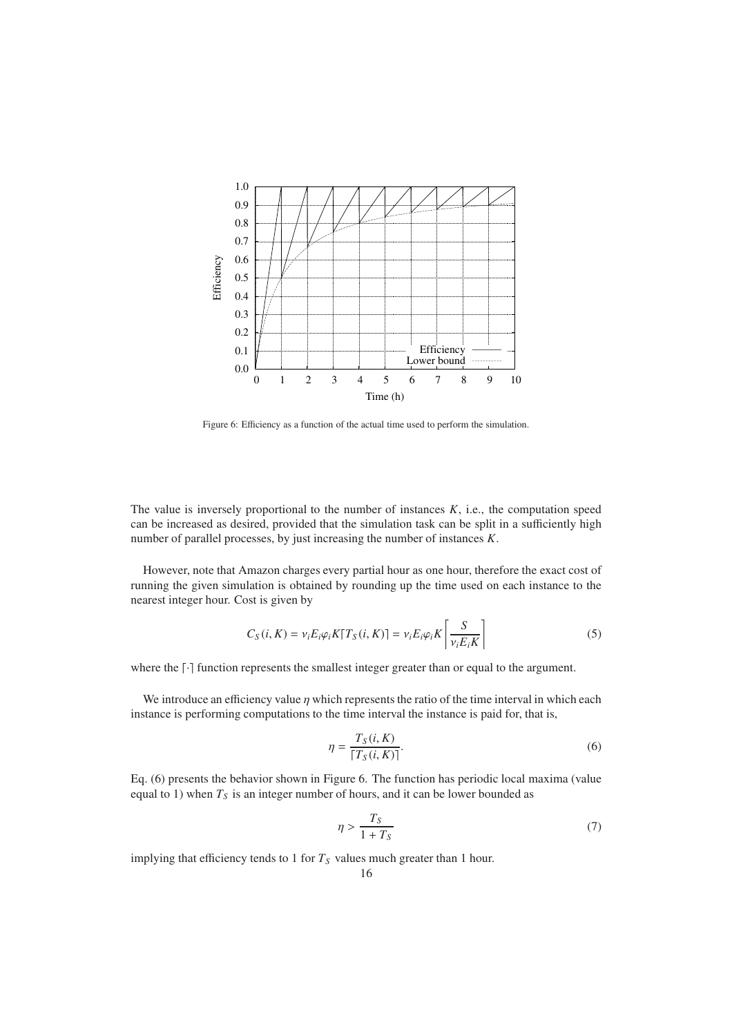

Figure 6: Efficiency as a function of the actual time used to perform the simulation.

The value is inversely proportional to the number of instances  $K$ , i.e., the computation speed can be increased as desired, provided that the simulation task can be split in a sufficiently high number of parallel processes, by just increasing the number of instances *K*.

However, note that Amazon charges every partial hour as one hour, therefore the exact cost of running the given simulation is obtained by rounding up the time used on each instance to the nearest integer hour. Cost is given by

$$
C_{S}(i, K) = \nu_{i} E_{i} \varphi_{i} K[T_{S}(i, K)] = \nu_{i} E_{i} \varphi_{i} K\left[\frac{S}{\nu_{i} E_{i} K}\right]
$$
(5)

where the [·] function represents the smallest integer greater than or equal to the argument.

We introduce an efficiency value  $\eta$  which represents the ratio of the time interval in which each instance is performing computations to the time interval the instance is paid for, that is,

$$
\eta = \frac{T_S(i, K)}{[T_S(i, K)]}.\tag{6}
$$

Eq. (6) presents the behavior shown in Figure 6. The function has periodic local maxima (value equal to 1) when *T<sup>S</sup>* is an integer number of hours, and it can be lower bounded as

$$
\eta > \frac{T_S}{1 + T_S} \tag{7}
$$

implying that efficiency tends to 1 for  $T<sub>S</sub>$  values much greater than 1 hour.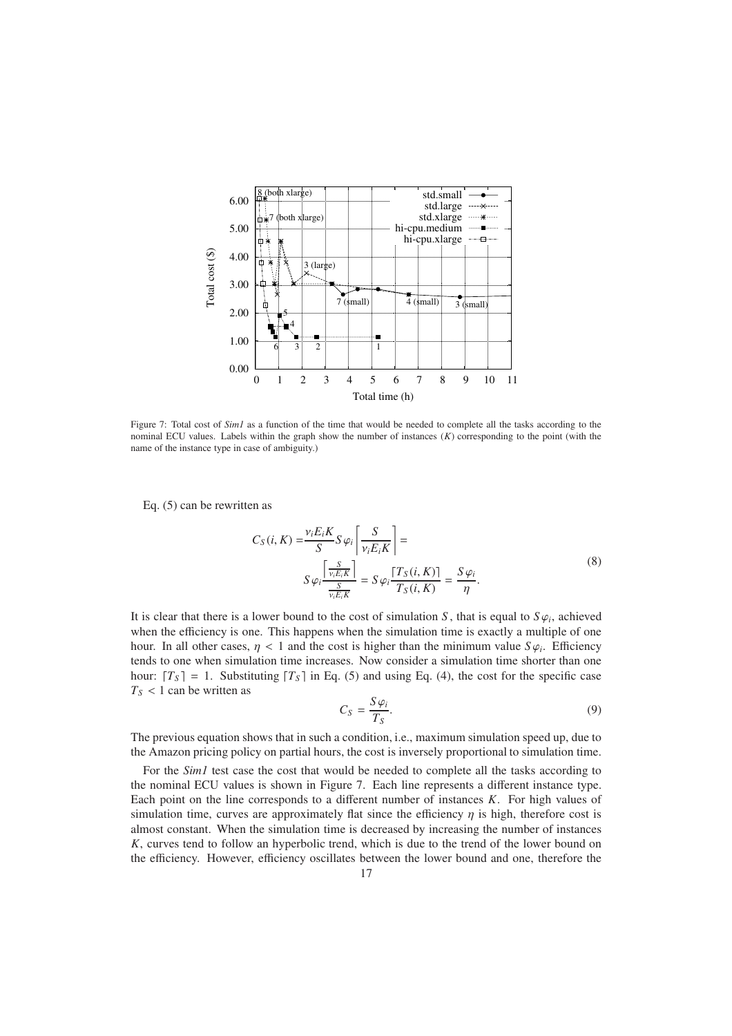

Figure 7: Total cost of *Sim1* as a function of the time that would be needed to complete all the tasks according to the nominal ECU values. Labels within the graph show the number of instances (*K*) corresponding to the point (with the name of the instance type in case of ambiguity.)

Eq. (5) can be rewritten as

$$
C_{S}(i, K) = \frac{\nu_{i} E_{i} K}{S} S \varphi_{i} \left[ \frac{S}{\nu_{i} E_{i} K} \right] =
$$
  

$$
S \varphi_{i} \frac{\left[ \frac{S}{\nu_{i} E_{i} K} \right]}{\frac{S}{\nu_{i} E_{i} K}} = S \varphi_{i} \frac{\left[ T_{S}(i, K) \right]}{T_{S}(i, K)} = \frac{S \varphi_{i}}{\eta}.
$$
 (8)

It is clear that there is a lower bound to the cost of simulation *S*, that is equal to  $S\varphi_i$ , achieved when the efficiency is one. This happens when the simulation time is exactly a multiple of one hour. In all other cases,  $\eta$  < 1 and the cost is higher than the minimum value  $S\varphi$ . Efficiency tends to one when simulation time increases. Now consider a simulation time shorter than one hour:  $[T<sub>S</sub>] = 1$ . Substituting  $[T<sub>S</sub>]$  in Eq. (5) and using Eq. (4), the cost for the specific case  $T<sub>S</sub>$  < 1 can be written as

$$
C_S = \frac{S\varphi_i}{T_S}.\tag{9}
$$

The previous equation shows that in such a condition, i.e., maximum simulation speed up, due to the Amazon pricing policy on partial hours, the cost is inversely proportional to simulation time.

For the *Sim1* test case the cost that would be needed to complete all the tasks according to the nominal ECU values is shown in Figure 7. Each line represents a different instance type. Each point on the line corresponds to a different number of instances *K*. For high values of simulation time, curves are approximately flat since the efficiency  $\eta$  is high, therefore cost is almost constant. When the simulation time is decreased by increasing the number of instances *K*, curves tend to follow an hyperbolic trend, which is due to the trend of the lower bound on the efficiency. However, efficiency oscillates between the lower bound and one, therefore the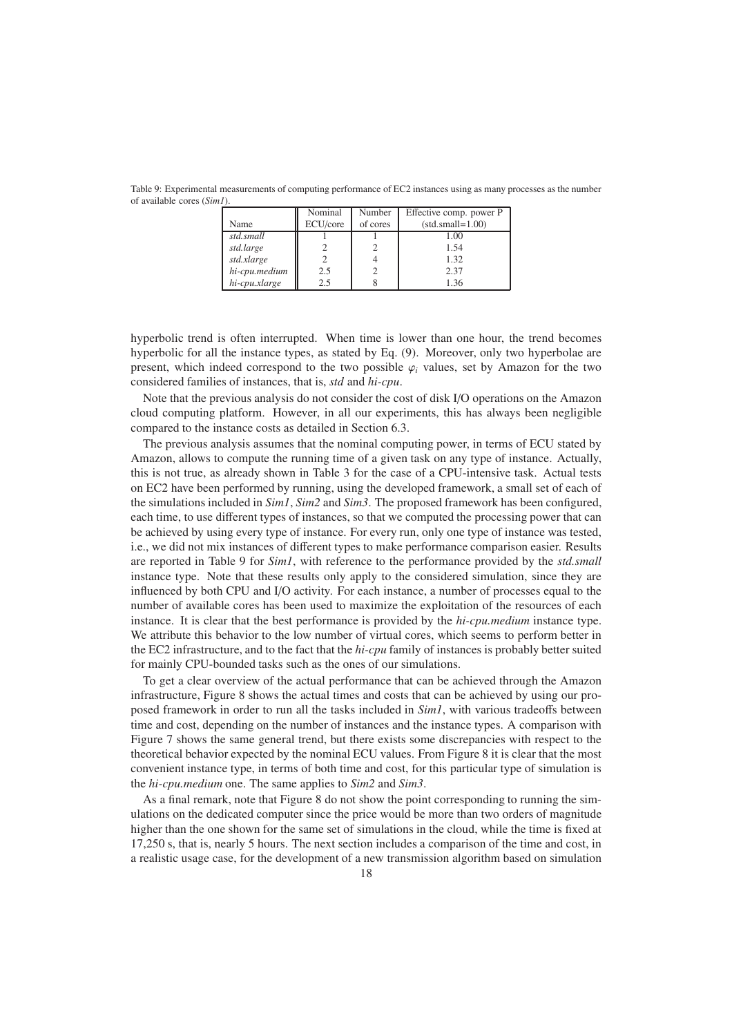Table 9: Experimental measurements of computing performance of EC2 instances using as many processes as the number of available cores (*Sim1*).

|               | Nominal  | Number   | Effective comp. power P |
|---------------|----------|----------|-------------------------|
| Name          | ECU/core | of cores | $(stat. small=1.00)$    |
| std.small     |          |          | 1.00                    |
| std.large     |          |          | 1.54                    |
| std.xlarge    |          |          | 1.32                    |
| hi-cpu.medium | 2.5      |          | 2.37                    |
| hi-cpu.xlarge | 2.5      |          | 1.36                    |

hyperbolic trend is often interrupted. When time is lower than one hour, the trend becomes hyperbolic for all the instance types, as stated by Eq. (9). Moreover, only two hyperbolae are present, which indeed correspond to the two possible  $\varphi_i$  values, set by Amazon for the two considered families of instances, that is, *std* and *hi-cpu*.

Note that the previous analysis do not consider the cost of disk I/O operations on the Amazon cloud computing platform. However, in all our experiments, this has always been negligible compared to the instance costs as detailed in Section 6.3.

The previous analysis assumes that the nominal computing power, in terms of ECU stated by Amazon, allows to compute the running time of a given task on any type of instance. Actually, this is not true, as already shown in Table 3 for the case of a CPU-intensive task. Actual tests on EC2 have been performed by running, using the developed framework, a small set of each of the simulations included in *Sim1*, *Sim2* and *Sim3*. The proposed framework has been configured, each time, to use different types of instances, so that we computed the processing power that can be achieved by using every type of instance. For every run, only one type of instance was tested, i.e., we did not mix instances of different types to make performance comparison easier. Results are reported in Table 9 for *Sim1*, with reference to the performance provided by the *std.small* instance type. Note that these results only apply to the considered simulation, since they are influenced by both CPU and I/O activity. For each instance, a number of processes equal to the number of available cores has been used to maximize the exploitation of the resources of each instance. It is clear that the best performance is provided by the *hi-cpu.medium* instance type. We attribute this behavior to the low number of virtual cores, which seems to perform better in the EC2 infrastructure, and to the fact that the *hi-cpu* family of instances is probably better suited for mainly CPU-bounded tasks such as the ones of our simulations.

To get a clear overview of the actual performance that can be achieved through the Amazon infrastructure, Figure 8 shows the actual times and costs that can be achieved by using our proposed framework in order to run all the tasks included in *Sim1*, with various tradeoffs between time and cost, depending on the number of instances and the instance types. A comparison with Figure 7 shows the same general trend, but there exists some discrepancies with respect to the theoretical behavior expected by the nominal ECU values. From Figure 8 it is clear that the most convenient instance type, in terms of both time and cost, for this particular type of simulation is the *hi-cpu.medium* one. The same applies to *Sim2* and *Sim3*.

As a final remark, note that Figure 8 do not show the point corresponding to running the simulations on the dedicated computer since the price would be more than two orders of magnitude higher than the one shown for the same set of simulations in the cloud, while the time is fixed at 17,250 s, that is, nearly 5 hours. The next section includes a comparison of the time and cost, in a realistic usage case, for the development of a new transmission algorithm based on simulation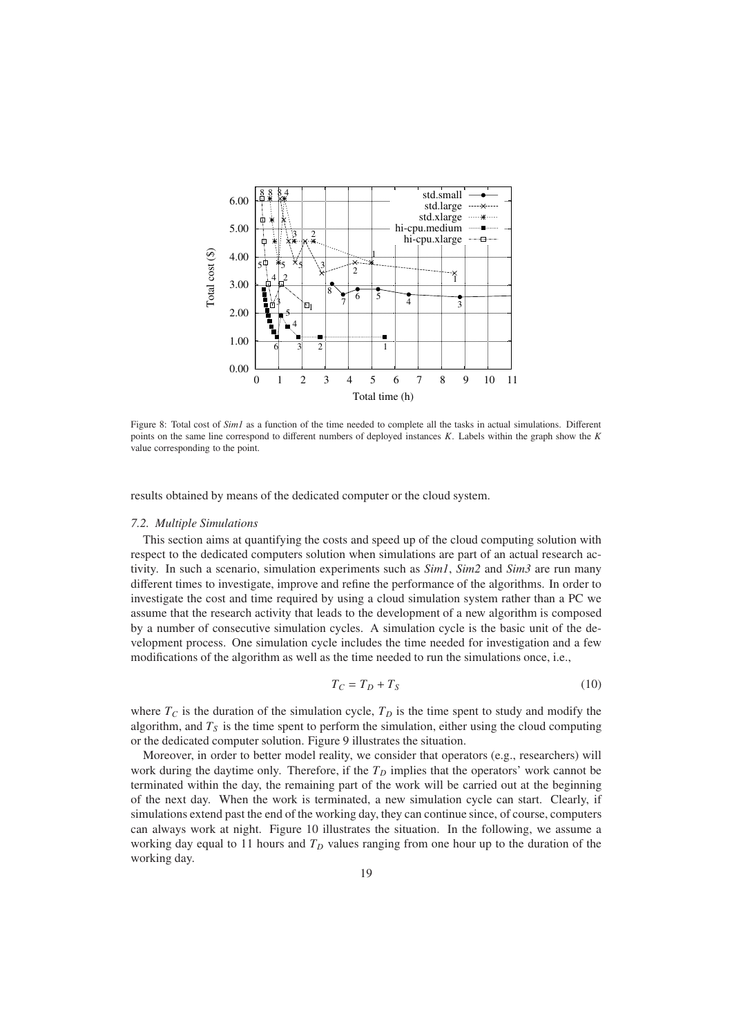

Figure 8: Total cost of *Sim1* as a function of the time needed to complete all the tasks in actual simulations. Different points on the same line correspond to different numbers of deployed instances *K*. Labels within the graph show the *K* value corresponding to the point.

results obtained by means of the dedicated computer or the cloud system.

#### *7.2. Multiple Simulations*

This section aims at quantifying the costs and speed up of the cloud computing solution with respect to the dedicated computers solution when simulations are part of an actual research activity. In such a scenario, simulation experiments such as *Sim1*, *Sim2* and *Sim3* are run many different times to investigate, improve and refine the performance of the algorithms. In order to investigate the cost and time required by using a cloud simulation system rather than a PC we assume that the research activity that leads to the development of a new algorithm is composed by a number of consecutive simulation cycles. A simulation cycle is the basic unit of the development process. One simulation cycle includes the time needed for investigation and a few modifications of the algorithm as well as the time needed to run the simulations once, i.e.,

$$
T_C = T_D + T_S \tag{10}
$$

where  $T_c$  is the duration of the simulation cycle,  $T_D$  is the time spent to study and modify the algorithm, and  $T<sub>S</sub>$  is the time spent to perform the simulation, either using the cloud computing or the dedicated computer solution. Figure 9 illustrates the situation.

Moreover, in order to better model reality, we consider that operators (e.g., researchers) will work during the daytime only. Therefore, if the  $T<sub>D</sub>$  implies that the operators' work cannot be terminated within the day, the remaining part of the work will be carried out at the beginning of the next day. When the work is terminated, a new simulation cycle can start. Clearly, if simulations extend past the end of the working day, they can continue since, of course, computers can always work at night. Figure 10 illustrates the situation. In the following, we assume a working day equal to 11 hours and *T<sup>D</sup>* values ranging from one hour up to the duration of the working day.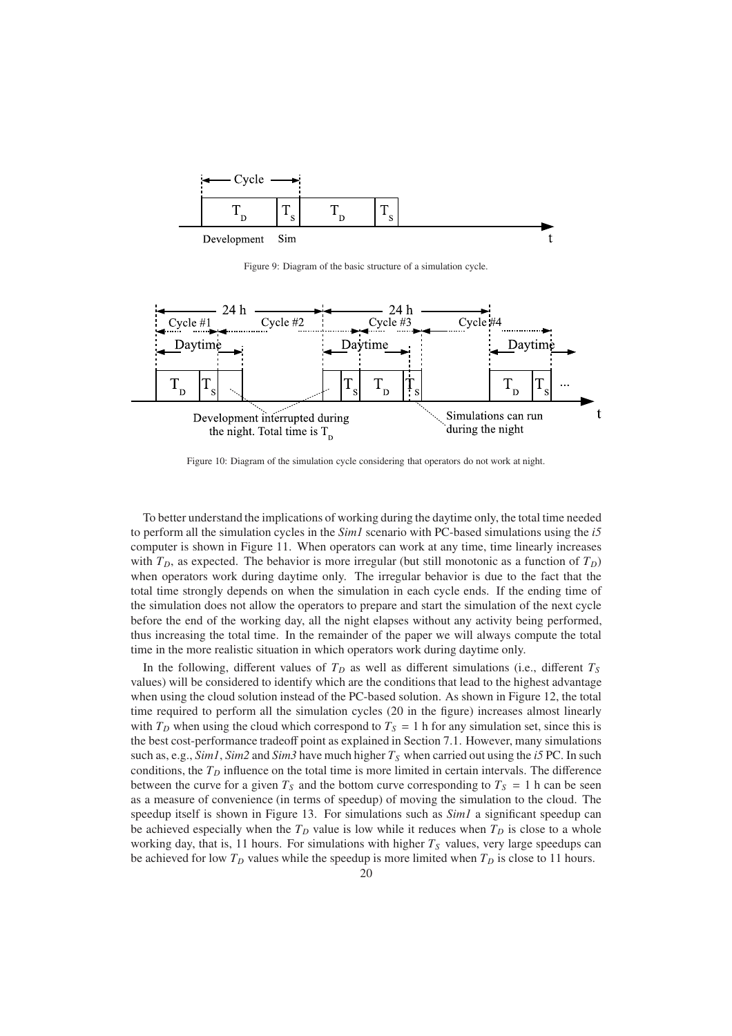

Figure 9: Diagram of the basic structure of a simulation cycle.



Figure 10: Diagram of the simulation cycle considering that operators do not work at night.

To better understand the implications of working during the daytime only, the total time needed to perform all the simulation cycles in the *Sim1* scenario with PC-based simulations using the *i5* computer is shown in Figure 11. When operators can work at any time, time linearly increases with  $T_p$ , as expected. The behavior is more irregular (but still monotonic as a function of  $T_p$ ) when operators work during daytime only. The irregular behavior is due to the fact that the total time strongly depends on when the simulation in each cycle ends. If the ending time of the simulation does not allow the operators to prepare and start the simulation of the next cycle before the end of the working day, all the night elapses without any activity being performed, thus increasing the total time. In the remainder of the paper we will always compute the total time in the more realistic situation in which operators work during daytime only.

In the following, different values of  $T<sub>D</sub>$  as well as different simulations (i.e., different  $T<sub>S</sub>$ values) will be considered to identify which are the conditions that lead to the highest advantage when using the cloud solution instead of the PC-based solution. As shown in Figure 12, the total time required to perform all the simulation cycles (20 in the figure) increases almost linearly with  $T_D$  when using the cloud which correspond to  $T_S = 1$  h for any simulation set, since this is the best cost-performance tradeoff point as explained in Section 7.1. However, many simulations such as, e.g., *Sim1*, *Sim2* and *Sim3* have much higher *T<sup>S</sup>* when carried out using the *i5* PC. In such conditions, the  $T<sub>D</sub>$  influence on the total time is more limited in certain intervals. The difference between the curve for a given  $T<sub>S</sub>$  and the bottom curve corresponding to  $T<sub>S</sub> = 1$  h can be seen as a measure of convenience (in terms of speedup) of moving the simulation to the cloud. The speedup itself is shown in Figure 13. For simulations such as *Sim1* a significant speedup can be achieved especially when the  $T<sub>D</sub>$  value is low while it reduces when  $T<sub>D</sub>$  is close to a whole working day, that is, 11 hours. For simulations with higher  $T<sub>S</sub>$  values, very large speedups can be achieved for low  $T<sub>D</sub>$  values while the speedup is more limited when  $T<sub>D</sub>$  is close to 11 hours.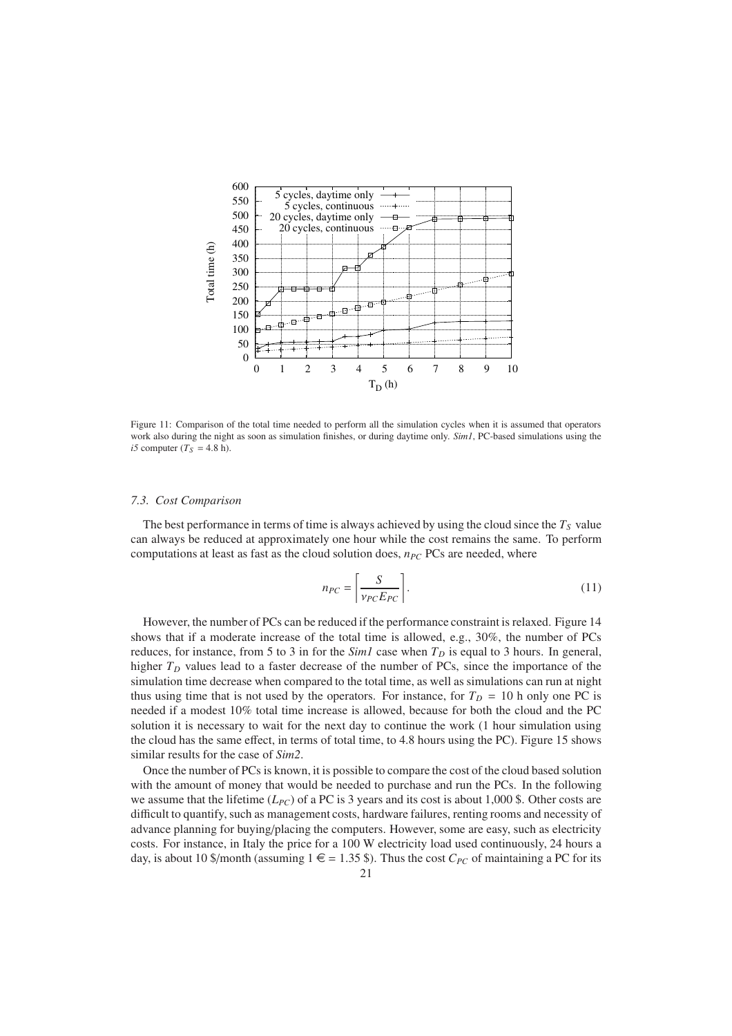

Figure 11: Comparison of the total time needed to perform all the simulation cycles when it is assumed that operators work also during the night as soon as simulation finishes, or during daytime only. *Sim1*, PC-based simulations using the *i5* computer  $(T_S = 4.8 \text{ h})$ .

## *7.3. Cost Comparison*

The best performance in terms of time is always achieved by using the cloud since the *T<sup>S</sup>* value can always be reduced at approximately one hour while the cost remains the same. To perform computations at least as fast as the cloud solution does,  $n_{PC}$  PCs are needed, where

$$
n_{PC} = \left\lceil \frac{S}{\nu_{PC} E_{PC}} \right\rceil. \tag{11}
$$

However, the number of PCs can be reduced if the performance constraint is relaxed. Figure 14 shows that if a moderate increase of the total time is allowed, e.g., 30%, the number of PCs reduces, for instance, from 5 to 3 in for the *Sim1* case when *T<sup>D</sup>* is equal to 3 hours. In general, higher  $T<sub>D</sub>$  values lead to a faster decrease of the number of PCs, since the importance of the simulation time decrease when compared to the total time, as well as simulations can run at night thus using time that is not used by the operators. For instance, for  $T<sub>D</sub> = 10$  h only one PC is needed if a modest 10% total time increase is allowed, because for both the cloud and the PC solution it is necessary to wait for the next day to continue the work (1 hour simulation using the cloud has the same effect, in terms of total time, to 4.8 hours using the PC). Figure 15 shows similar results for the case of *Sim2*.

Once the number of PCs is known, it is possible to compare the cost of the cloud based solution with the amount of money that would be needed to purchase and run the PCs. In the following we assume that the lifetime  $(L_{PC})$  of a PC is 3 years and its cost is about 1,000 \$. Other costs are difficult to quantify, such as management costs, hardware failures, renting rooms and necessity of advance planning for buying/placing the computers. However, some are easy, such as electricity costs. For instance, in Italy the price for a 100 W electricity load used continuously, 24 hours a day, is about 10 \$/month (assuming  $1 \in \equiv 1.35$  \$). Thus the cost  $C_{PC}$  of maintaining a PC for its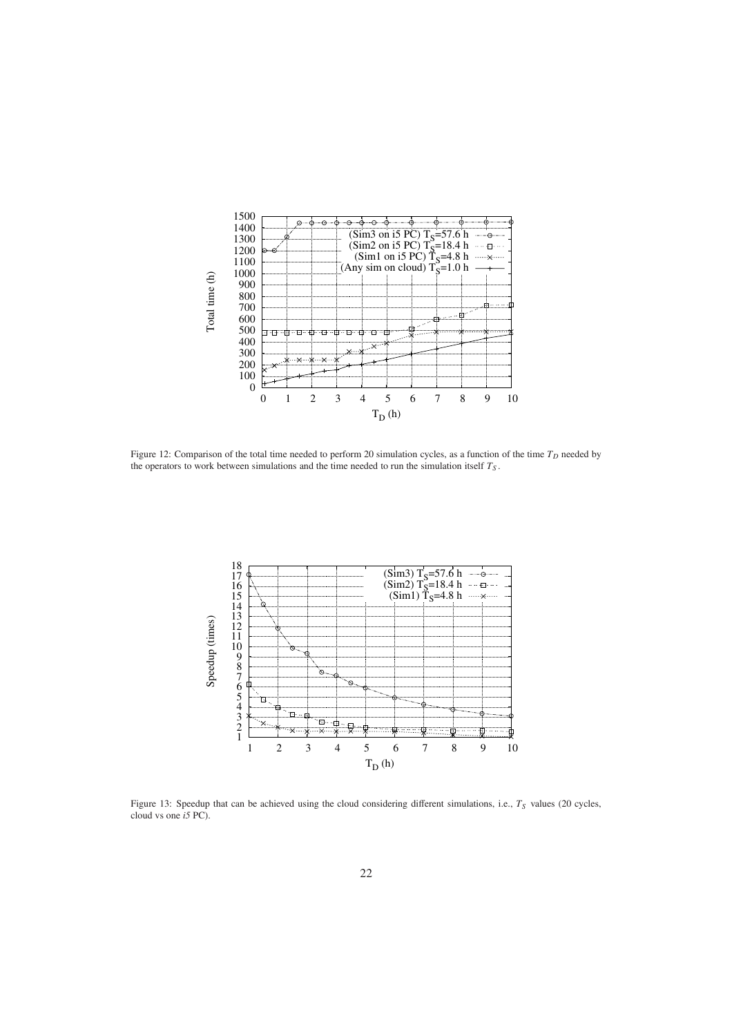

Figure 12: Comparison of the total time needed to perform 20 simulation cycles, as a function of the time  $T_D$  needed by the operators to work between simulations and the time needed to run the simulation itself *T<sup>S</sup>* .



Figure 13: Speedup that can be achieved using the cloud considering different simulations, i.e., *T<sub>S</sub>* values (20 cycles, cloud vs one *i5* PC).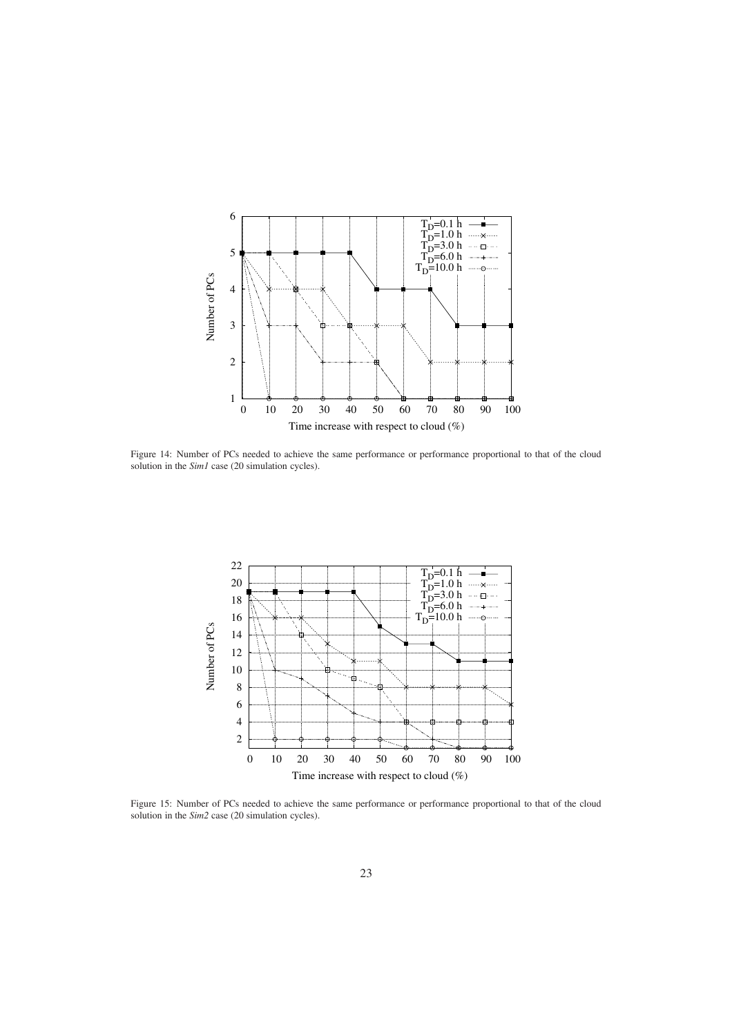

Figure 14: Number of PCs needed to achieve the same performance or performance proportional to that of the cloud solution in the *Sim1* case (20 simulation cycles).



Figure 15: Number of PCs needed to achieve the same performance or performance proportional to that of the cloud solution in the *Sim2* case (20 simulation cycles).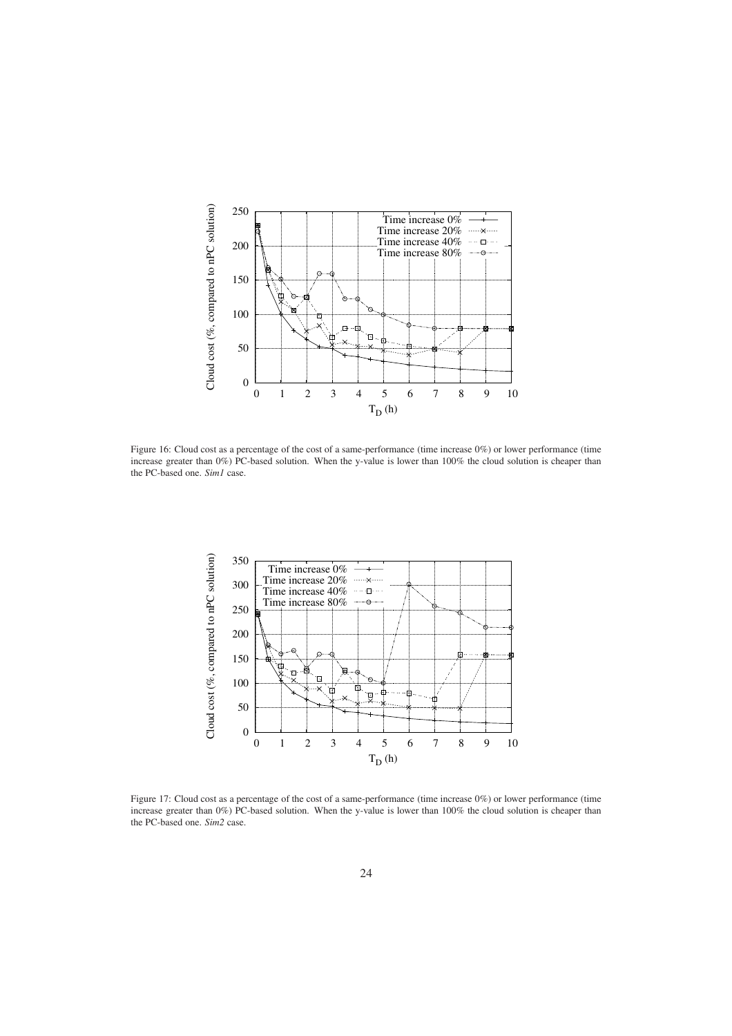

Figure 16: Cloud cost as a percentage of the cost of a same-performance (time increase 0%) or lower performance (time increase greater than 0%) PC-based solution. When the y-value is lower than 100% the cloud solution is cheaper than the PC-based one. *Sim1* case.



Figure 17: Cloud cost as a percentage of the cost of a same-performance (time increase 0%) or lower performance (time increase greater than 0%) PC-based solution. When the y-value is lower than 100% the cloud solution is cheaper than the PC-based one. *Sim2* case.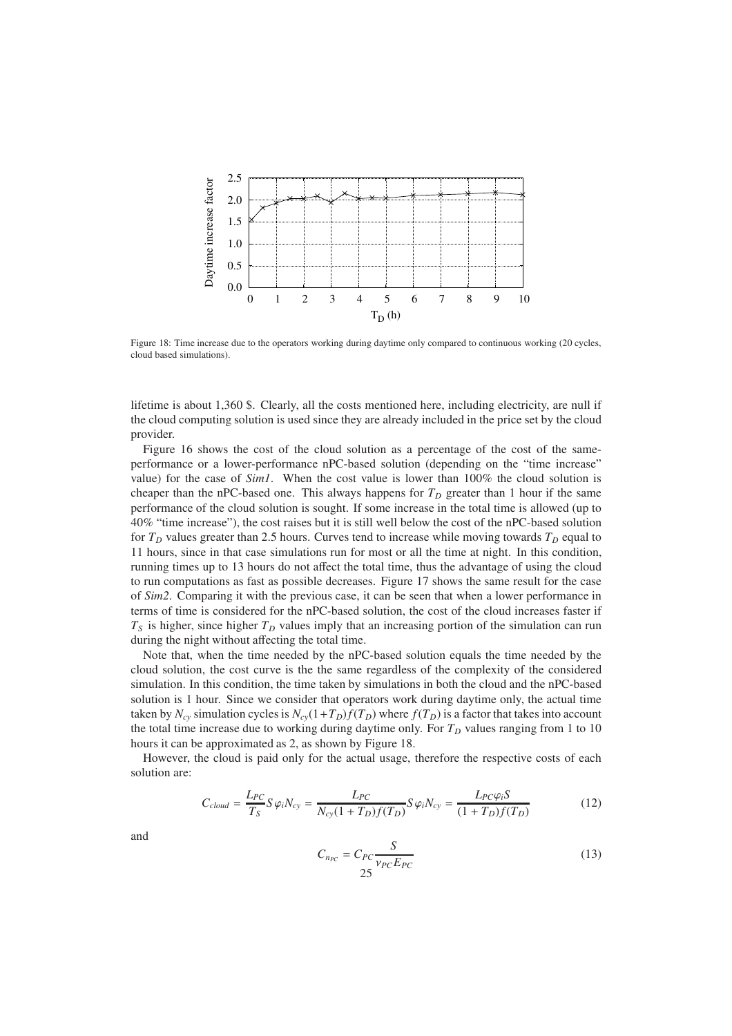

Figure 18: Time increase due to the operators working during daytime only compared to continuous working (20 cycles, cloud based simulations).

lifetime is about 1,360 \$. Clearly, all the costs mentioned here, including electricity, are null if the cloud computing solution is used since they are already included in the price set by the cloud provider.

Figure 16 shows the cost of the cloud solution as a percentage of the cost of the sameperformance or a lower-performance nPC-based solution (depending on the "time increase" value) for the case of *Sim1*. When the cost value is lower than 100% the cloud solution is cheaper than the nPC-based one. This always happens for  $T<sub>D</sub>$  greater than 1 hour if the same performance of the cloud solution is sought. If some increase in the total time is allowed (up to 40% "time increase"), the cost raises but it is still well below the cost of the nPC-based solution for  $T<sub>D</sub>$  values greater than 2.5 hours. Curves tend to increase while moving towards  $T<sub>D</sub>$  equal to 11 hours, since in that case simulations run for most or all the time at night. In this condition, running times up to 13 hours do not affect the total time, thus the advantage of using the cloud to run computations as fast as possible decreases. Figure 17 shows the same result for the case of *Sim2*. Comparing it with the previous case, it can be seen that when a lower performance in terms of time is considered for the nPC-based solution, the cost of the cloud increases faster if  $T<sub>S</sub>$  is higher, since higher  $T<sub>D</sub>$  values imply that an increasing portion of the simulation can run during the night without affecting the total time.

Note that, when the time needed by the nPC-based solution equals the time needed by the cloud solution, the cost curve is the the same regardless of the complexity of the considered simulation. In this condition, the time taken by simulations in both the cloud and the nPC-based solution is 1 hour. Since we consider that operators work during daytime only, the actual time taken by  $N_{cy}$  simulation cycles is  $N_{cy}(1+T_D)f(T_D)$  where  $f(T_D)$  is a factor that takes into account the total time increase due to working during daytime only. For  $T<sub>D</sub>$  values ranging from 1 to 10 hours it can be approximated as 2, as shown by Figure 18.

However, the cloud is paid only for the actual usage, therefore the respective costs of each solution are:

$$
C_{cloud} = \frac{L_{PC}}{T_S} S \varphi_i N_{cy} = \frac{L_{PC}}{N_{cy}(1+T_D)f(T_D)} S \varphi_i N_{cy} = \frac{L_{PC}\varphi_i S}{(1+T_D)f(T_D)}
$$
(12)

and

$$
C_{n_{PC}} = C_{PC} \frac{S}{\nu_{PC} E_{PC}}
$$
\n
$$
25 \tag{13}
$$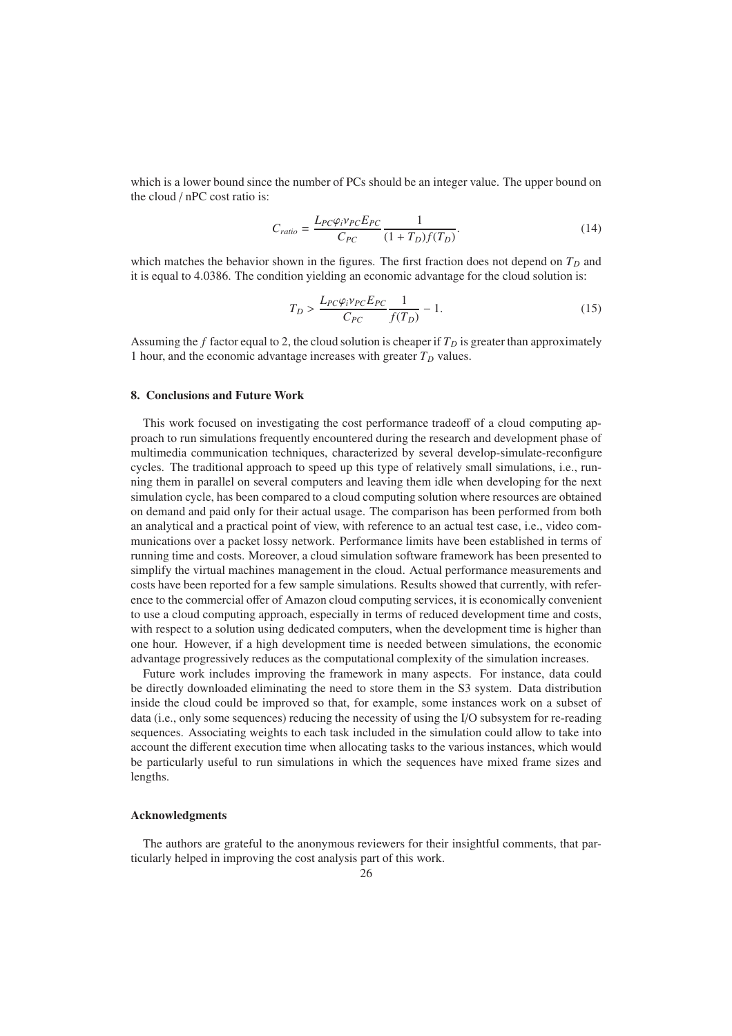which is a lower bound since the number of PCs should be an integer value. The upper bound on the cloud / nPC cost ratio is:

$$
C_{ratio} = \frac{L_{PC}\varphi_i \nu_{PC} E_{PC}}{C_{PC}} \frac{1}{(1+T_D)f(T_D)}.\tag{14}
$$

which matches the behavior shown in the figures. The first fraction does not depend on  $T<sub>D</sub>$  and it is equal to 4.0386. The condition yielding an economic advantage for the cloud solution is:

$$
T_D > \frac{L_{PC}\varphi_i \nu_{PC} E_{PC}}{C_{PC}} \frac{1}{f(T_D)} - 1.
$$
\n(15)

Assuming the *f* factor equal to 2, the cloud solution is cheaper if  $T<sub>D</sub>$  is greater than approximately 1 hour, and the economic advantage increases with greater  $T<sub>D</sub>$  values.

# 8. Conclusions and Future Work

This work focused on investigating the cost performance tradeoff of a cloud computing approach to run simulations frequently encountered during the research and development phase of multimedia communication techniques, characterized by several develop-simulate-reconfigure cycles. The traditional approach to speed up this type of relatively small simulations, i.e., running them in parallel on several computers and leaving them idle when developing for the next simulation cycle, has been compared to a cloud computing solution where resources are obtained on demand and paid only for their actual usage. The comparison has been performed from both an analytical and a practical point of view, with reference to an actual test case, i.e., video communications over a packet lossy network. Performance limits have been established in terms of running time and costs. Moreover, a cloud simulation software framework has been presented to simplify the virtual machines management in the cloud. Actual performance measurements and costs have been reported for a few sample simulations. Results showed that currently, with reference to the commercial offer of Amazon cloud computing services, it is economically convenient to use a cloud computing approach, especially in terms of reduced development time and costs, with respect to a solution using dedicated computers, when the development time is higher than one hour. However, if a high development time is needed between simulations, the economic advantage progressively reduces as the computational complexity of the simulation increases.

Future work includes improving the framework in many aspects. For instance, data could be directly downloaded eliminating the need to store them in the S3 system. Data distribution inside the cloud could be improved so that, for example, some instances work on a subset of data (i.e., only some sequences) reducing the necessity of using the I/O subsystem for re-reading sequences. Associating weights to each task included in the simulation could allow to take into account the different execution time when allocating tasks to the various instances, which would be particularly useful to run simulations in which the sequences have mixed frame sizes and lengths.

## Acknowledgments

The authors are grateful to the anonymous reviewers for their insightful comments, that particularly helped in improving the cost analysis part of this work.